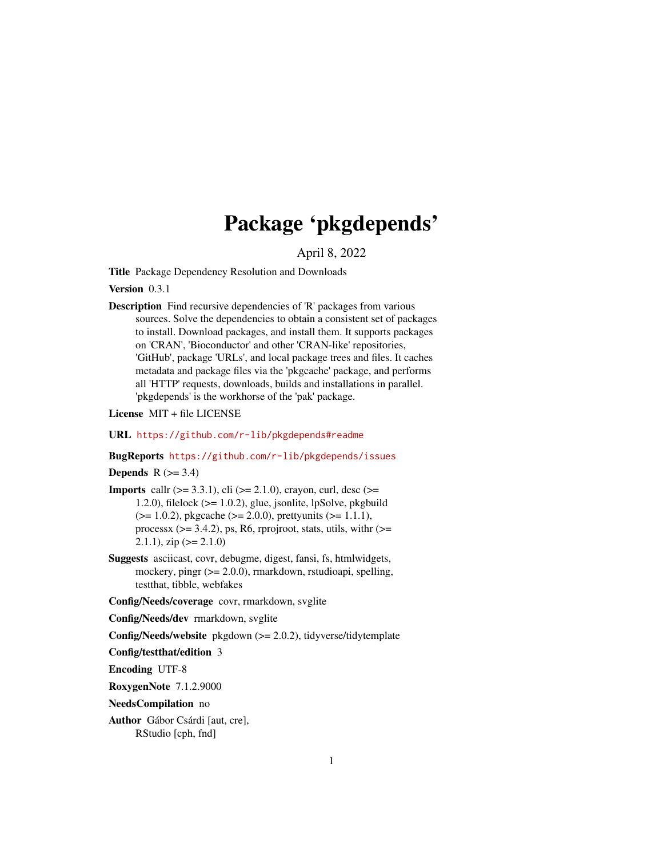# Package 'pkgdepends'

April 8, 2022

<span id="page-0-0"></span>Title Package Dependency Resolution and Downloads

Version 0.3.1

Description Find recursive dependencies of 'R' packages from various sources. Solve the dependencies to obtain a consistent set of packages to install. Download packages, and install them. It supports packages on 'CRAN', 'Bioconductor' and other 'CRAN-like' repositories, 'GitHub', package 'URLs', and local package trees and files. It caches metadata and package files via the 'pkgcache' package, and performs all 'HTTP' requests, downloads, builds and installations in parallel. 'pkgdepends' is the workhorse of the 'pak' package.

License MIT + file LICENSE

URL <https://github.com/r-lib/pkgdepends#readme>

### BugReports <https://github.com/r-lib/pkgdepends/issues>

Depends  $R$  ( $>= 3.4$ )

**Imports** callr ( $>= 3.3.1$ ), cli ( $>= 2.1.0$ ), crayon, curl, desc ( $>=$ 1.2.0), filelock  $(>= 1.0.2)$ , glue, jsonlite, lpSolve, pkgbuild  $(>= 1.0.2)$ , pkgcache  $(>= 2.0.0)$ , prettyunits  $(>= 1.1.1)$ , processx  $(>= 3.4.2)$ , ps, R6, rprojroot, stats, utils, with  $(>=$ 2.1.1),  $\text{zip}$  ( $\text{>=} 2.1.0$ )

Suggests asciicast, covr, debugme, digest, fansi, fs, htmlwidgets, mockery, pingr (>= 2.0.0), rmarkdown, rstudioapi, spelling, testthat, tibble, webfakes

Config/Needs/coverage covr, rmarkdown, svglite

Config/Needs/dev rmarkdown, svglite

Config/Needs/website pkgdown (>= 2.0.2), tidyverse/tidytemplate

Config/testthat/edition 3

Encoding UTF-8

RoxygenNote 7.1.2.9000

NeedsCompilation no

Author Gábor Csárdi [aut, cre], RStudio [cph, fnd]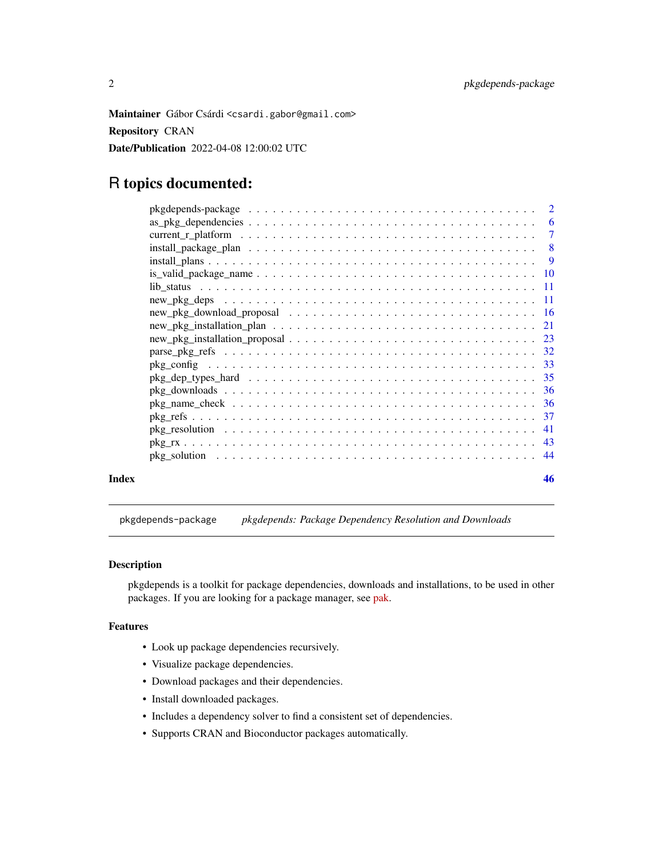<span id="page-1-0"></span>Maintainer Gábor Csárdi <csardi.gabor@gmail.com> Repository CRAN Date/Publication 2022-04-08 12:00:02 UTC

# R topics documented:

|       | $install_plans \ldots \ldots \ldots \ldots \ldots \ldots \ldots \ldots \ldots \ldots \ldots \ldots \ldots$ |    |
|-------|------------------------------------------------------------------------------------------------------------|----|
|       |                                                                                                            |    |
|       |                                                                                                            |    |
|       |                                                                                                            |    |
|       |                                                                                                            |    |
|       |                                                                                                            |    |
|       |                                                                                                            |    |
|       |                                                                                                            |    |
|       |                                                                                                            |    |
|       |                                                                                                            |    |
|       |                                                                                                            |    |
|       |                                                                                                            |    |
|       |                                                                                                            |    |
|       |                                                                                                            |    |
|       |                                                                                                            |    |
|       |                                                                                                            |    |
| Index |                                                                                                            | 46 |

pkgdepends-package *pkgdepends: Package Dependency Resolution and Downloads*

# Description

pkgdepends is a toolkit for package dependencies, downloads and installations, to be used in other packages. If you are looking for a package manager, see [pak.](https://github.com/r-lib/pak)

# Features

- Look up package dependencies recursively.
- Visualize package dependencies.
- Download packages and their dependencies.
- Install downloaded packages.
- Includes a dependency solver to find a consistent set of dependencies.
- Supports CRAN and Bioconductor packages automatically.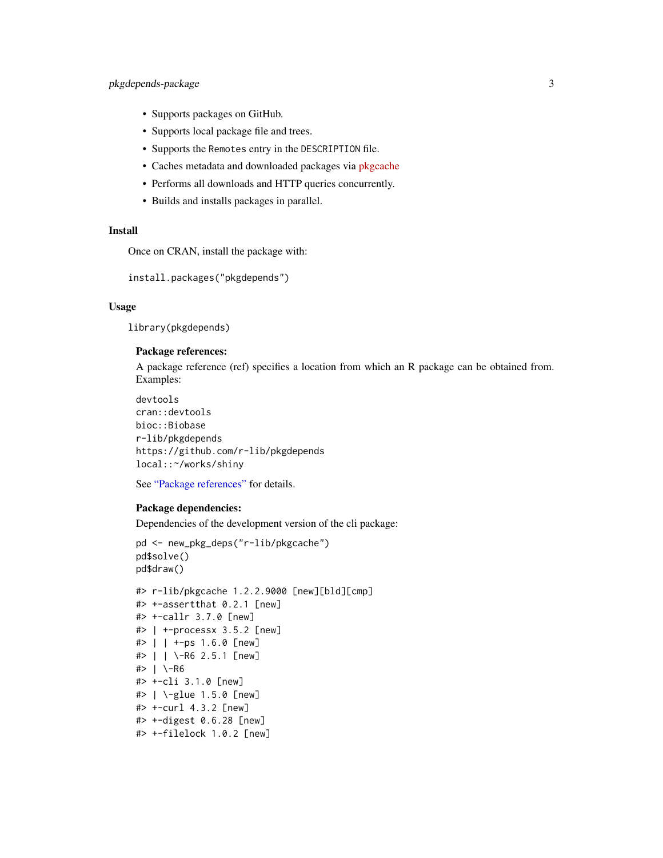# <span id="page-2-0"></span>pkgdepends-package 3

- Supports packages on GitHub.
- Supports local package file and trees.
- Supports the Remotes entry in the DESCRIPTION file.
- Caches metadata and downloaded packages via [pkgcache](https://github.com/r-lib/pkgcache)
- Performs all downloads and HTTP queries concurrently.
- Builds and installs packages in parallel.

#### Install

Once on CRAN, install the package with:

install.packages("pkgdepends")

# Usage

library(pkgdepends)

#### Package references:

A package reference (ref) specifies a location from which an R package can be obtained from. Examples:

```
devtools
cran::devtools
bioc::Biobase
r-lib/pkgdepends
https://github.com/r-lib/pkgdepends
local::~/works/shiny
```
See ["Package references"](#page-36-1) for details.

#### Package dependencies:

Dependencies of the development version of the cli package:

```
pd <- new_pkg_deps("r-lib/pkgcache")
pd$solve()
pd$draw()
#> r-lib/pkgcache 1.2.2.9000 [new][bld][cmp]
#> +-assertthat 0.2.1 [new]
#> +-callr 3.7.0 [new]
#> | +-processx 3.5.2 [new]
#> | | +-ps 1.6.0 [new]
#> | | \-R6 2.5.1 [new]
#> | \-R6
#> +-cli 3.1.0 [new]
#> | \-glue 1.5.0 [new]
#> +-curl 4.3.2 [new]
#> +-digest 0.6.28 [new]
#> +-filelock 1.0.2 [new]
```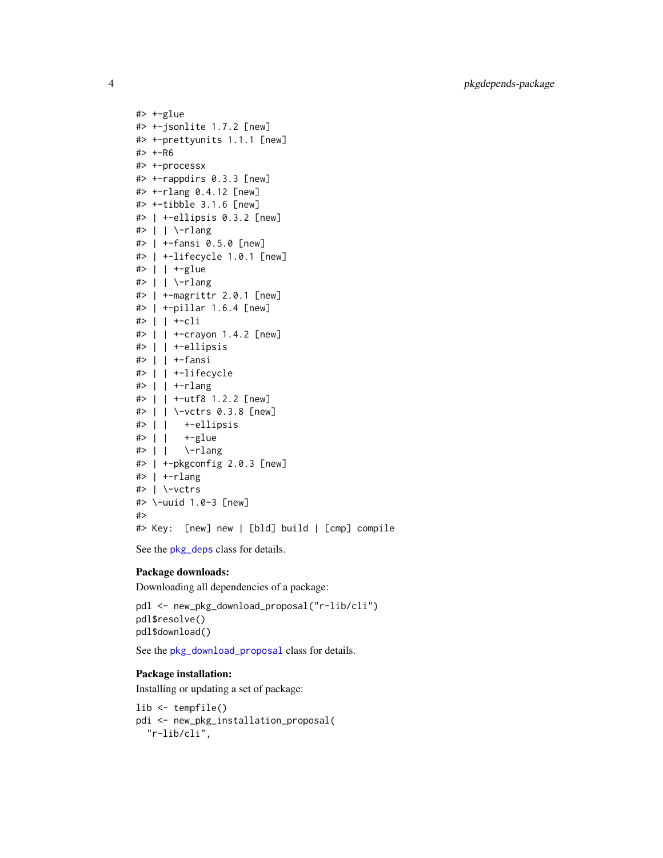$#$  +-glue #> +-jsonlite 1.7.2 [new] #> +-prettyunits 1.1.1 [new]  $# > + -R6$ #> +-processx #> +-rappdirs 0.3.3 [new] #> +-rlang 0.4.12 [new] #> +-tibble 3.1.6 [new] #> | +-ellipsis 0.3.2 [new] #> | | \-rlang #> | +-fansi 0.5.0 [new] #> | +-lifecycle 1.0.1 [new] #> | | +-glue  $\#$  | | \-rlang #> | +-magrittr 2.0.1 [new] #> | +-pillar 1.6.4 [new] #> | | +-cli #> | | +-crayon 1.4.2 [new] #> | | +-ellipsis #> | | +-fansi #> | | +-lifecycle #> | | +-rlang #> | | +-utf8 1.2.2 [new] #> | | \-vctrs 0.3.8 [new] #> | | +-ellipsis #> | | +-glue #> | | \-rlang #> | +-pkgconfig 2.0.3 [new] #> | +-rlang #> | \-vctrs #> \-uuid 1.0-3 [new] #> #> Key: [new] new | [bld] build | [cmp] compile

See the [pkg\\_deps](#page-10-1) class for details.

# Package downloads:

Downloading all dependencies of a package:

pdl <- new\_pkg\_download\_proposal("r-lib/cli") pdl\$resolve() pdl\$download()

See the [pkg\\_download\\_proposal](#page-15-1) class for details.

# Package installation:

Installing or updating a set of package:

lib <- tempfile() pdi <- new\_pkg\_installation\_proposal( "r-lib/cli",

<span id="page-3-0"></span>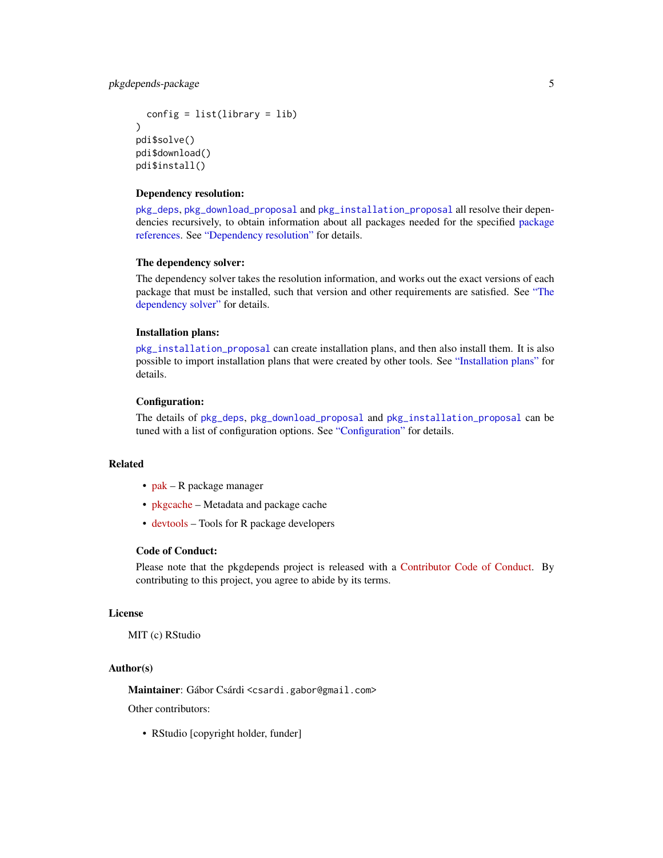```
config = list(library = lib)\lambdapdi$solve()
pdi$download()
pdi$install()
```
#### Dependency resolution:

[pkg\\_deps](#page-10-1), [pkg\\_download\\_proposal](#page-15-1) and [pkg\\_installation\\_proposal](#page-22-1) all resolve their dependencies recursively, to obtain information about all packages needed for the specified [package](#page-36-1) [references.](#page-36-1) See ["Dependency resolution"](#page-40-1) for details.

# The dependency solver:

The dependency solver takes the resolution information, and works out the exact versions of each package that must be installed, such that version and other requirements are satisfied. See ["The](#page-43-1) [dependency solver"](#page-43-1) for details.

# Installation plans:

[pkg\\_installation\\_proposal](#page-22-1) can create installation plans, and then also install them. It is also possible to import installation plans that were created by other tools. See ["Installation plans"](#page-8-1) for details.

# Configuration:

The details of [pkg\\_deps](#page-10-1), [pkg\\_download\\_proposal](#page-15-1) and [pkg\\_installation\\_proposal](#page-22-1) can be tuned with a list of configuration options. See ["Configuration"](#page-32-1) for details.

# Related

- $pak R$  $pak R$  package manager
- [pkgcache](https://github.com/r-lib/pkgcache) Metadata and package cache
- [devtools](https://github.com/r-lib/devtools) Tools for R package developers

#### Code of Conduct:

Please note that the pkgdepends project is released with a [Contributor Code of Conduct.](https://r-lib.github.io/pkgdepends/dev/CODE_OF_CONDUCT.html) By contributing to this project, you agree to abide by its terms.

# License

MIT (c) RStudio

# Author(s)

Maintainer: Gábor Csárdi <csardi.gabor@gmail.com>

Other contributors:

• RStudio [copyright holder, funder]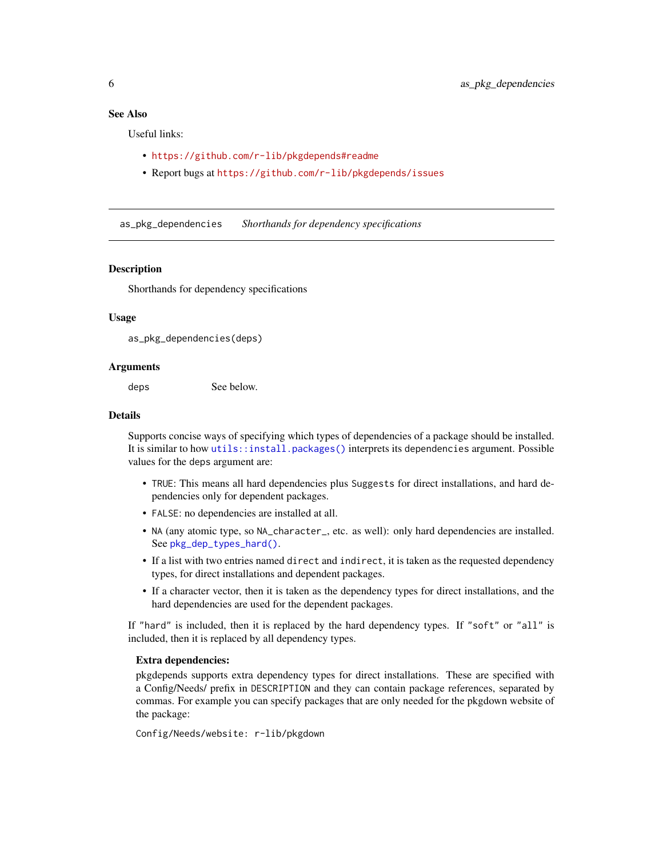# <span id="page-5-0"></span>See Also

Useful links:

- <https://github.com/r-lib/pkgdepends#readme>
- Report bugs at <https://github.com/r-lib/pkgdepends/issues>

<span id="page-5-1"></span>as\_pkg\_dependencies *Shorthands for dependency specifications*

#### **Description**

Shorthands for dependency specifications

#### Usage

```
as_pkg_dependencies(deps)
```
#### Arguments

deps See below.

# **Details**

Supports concise ways of specifying which types of dependencies of a package should be installed. It is similar to how [utils::install.packages\(\)](#page-0-0) interprets its dependencies argument. Possible values for the deps argument are:

- TRUE: This means all hard dependencies plus Suggests for direct installations, and hard dependencies only for dependent packages.
- FALSE: no dependencies are installed at all.
- NA (any atomic type, so NA\_character\_, etc. as well): only hard dependencies are installed. See [pkg\\_dep\\_types\\_hard\(\)](#page-34-1).
- If a list with two entries named direct and indirect, it is taken as the requested dependency types, for direct installations and dependent packages.
- If a character vector, then it is taken as the dependency types for direct installations, and the hard dependencies are used for the dependent packages.

If "hard" is included, then it is replaced by the hard dependency types. If "soft" or "all" is included, then it is replaced by all dependency types.

#### Extra dependencies:

pkgdepends supports extra dependency types for direct installations. These are specified with a Config/Needs/ prefix in DESCRIPTION and they can contain package references, separated by commas. For example you can specify packages that are only needed for the pkgdown website of the package:

Config/Needs/website: r-lib/pkgdown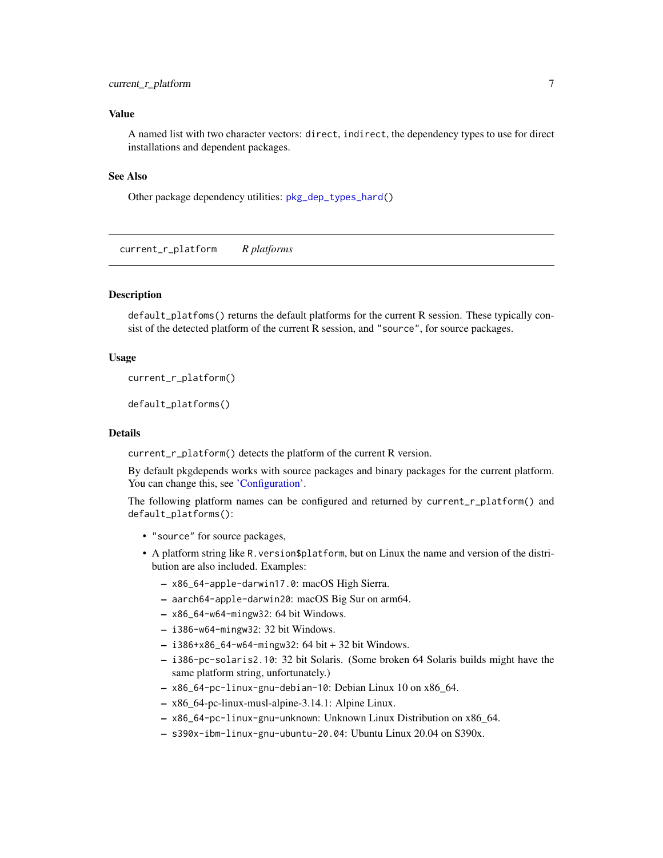# <span id="page-6-0"></span>current\_r\_platform 7

#### Value

A named list with two character vectors: direct, indirect, the dependency types to use for direct installations and dependent packages.

#### See Also

Other package dependency utilities: [pkg\\_dep\\_types\\_hard\(](#page-34-1))

current\_r\_platform *R platforms*

### <span id="page-6-1"></span>**Description**

default\_platfoms() returns the default platforms for the current R session. These typically consist of the detected platform of the current R session, and "source", for source packages.

#### Usage

```
current_r_platform()
```
default\_platforms()

#### Details

current\_r\_platform() detects the platform of the current R version.

By default pkgdepends works with source packages and binary packages for the current platform. You can change this, see ['Configuration'.](#page-32-1)

The following platform names can be configured and returned by current\_r\_platform() and default\_platforms():

- "source" for source packages,
- A platform string like R.version\$platform, but on Linux the name and version of the distribution are also included. Examples:
	- x86\_64-apple-darwin17.0: macOS High Sierra.
	- aarch64-apple-darwin20: macOS Big Sur on arm64.
	- x86\_64-w64-mingw32: 64 bit Windows.
	- i386-w64-mingw32: 32 bit Windows.
	- i386+x86\_64-w64-mingw32: 64 bit + 32 bit Windows.
	- i386-pc-solaris2.10: 32 bit Solaris. (Some broken 64 Solaris builds might have the same platform string, unfortunately.)
	- x86\_64-pc-linux-gnu-debian-10: Debian Linux 10 on x86\_64.
	- x86\_64-pc-linux-musl-alpine-3.14.1: Alpine Linux.
	- x86\_64-pc-linux-gnu-unknown: Unknown Linux Distribution on x86\_64.
	- s390x-ibm-linux-gnu-ubuntu-20.04: Ubuntu Linux 20.04 on S390x.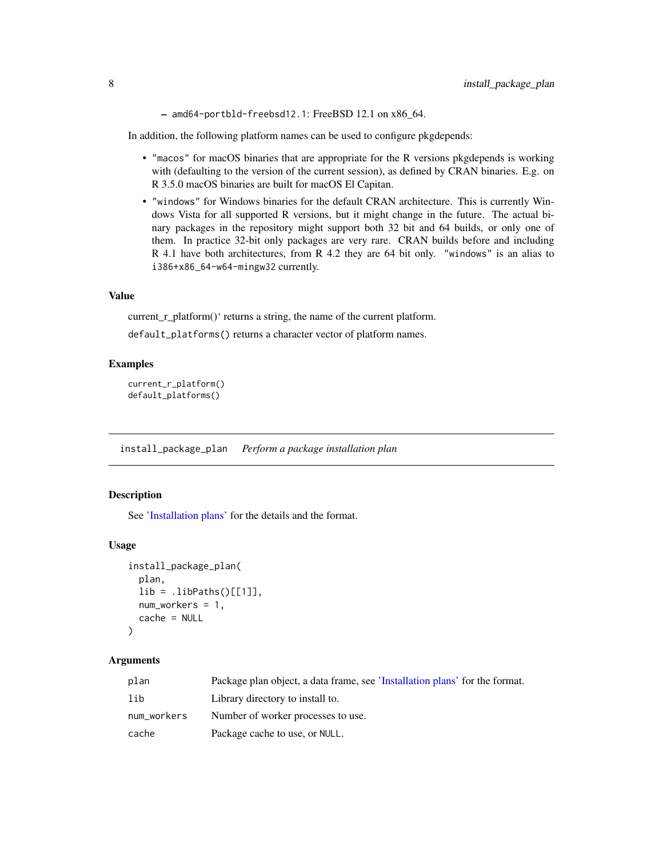– amd64-portbld-freebsd12.1: FreeBSD 12.1 on x86\_64.

<span id="page-7-0"></span>In addition, the following platform names can be used to configure pkgdepends:

- "macos" for macOS binaries that are appropriate for the R versions pkgdepends is working with (defaulting to the version of the current session), as defined by CRAN binaries. E.g. on R 3.5.0 macOS binaries are built for macOS El Capitan.
- "windows" for Windows binaries for the default CRAN architecture. This is currently Windows Vista for all supported R versions, but it might change in the future. The actual binary packages in the repository might support both 32 bit and 64 builds, or only one of them. In practice 32-bit only packages are very rare. CRAN builds before and including R 4.1 have both architectures, from R 4.2 they are 64 bit only. "windows" is an alias to i386+x86\_64-w64-mingw32 currently.

#### Value

current\_r\_platform()' returns a string, the name of the current platform.

default\_platforms() returns a character vector of platform names.

#### Examples

```
current_r_platform()
default_platforms()
```
<span id="page-7-1"></span>install\_package\_plan *Perform a package installation plan*

#### Description

See ['Installation plans'](#page-8-1) for the details and the format.

#### Usage

```
install_package_plan(
  plan,
  lib = .libPaths()[[1]],
 num_workers = 1,
  cache = NULL
)
```
#### Arguments

| plan        | Package plan object, a data frame, see 'Installation plans' for the format. |
|-------------|-----------------------------------------------------------------------------|
| lib         | Library directory to install to.                                            |
| num_workers | Number of worker processes to use.                                          |
| cache       | Package cache to use, or NULL.                                              |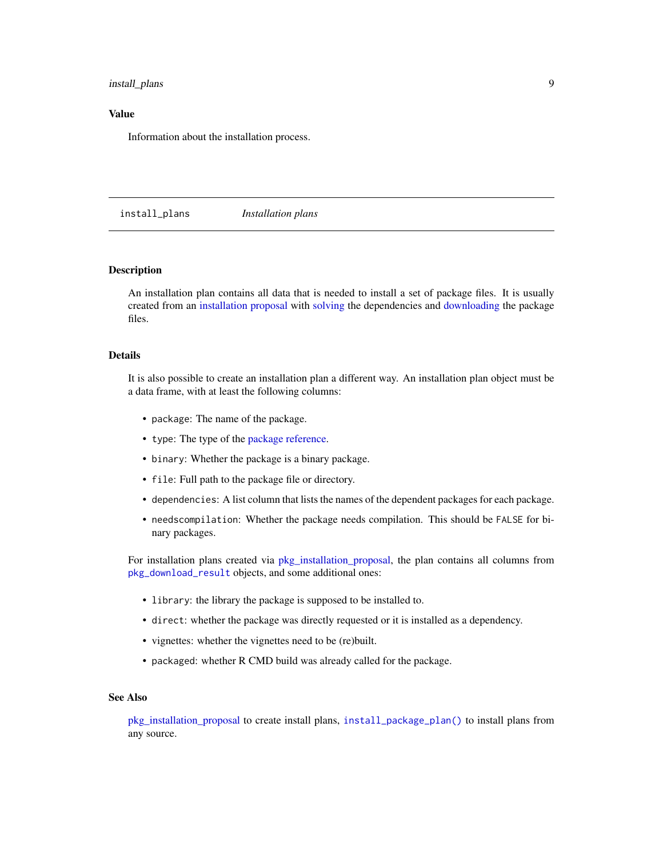# <span id="page-8-0"></span>install\_plans 9

# Value

Information about the installation process.

<span id="page-8-1"></span>install\_plans *Installation plans*

# Description

An installation plan contains all data that is needed to install a set of package files. It is usually created from an [installation proposal](#page-22-1) with [solving](#page-43-1) the dependencies and [downloading](#page-35-1) the package files.

#### Details

It is also possible to create an installation plan a different way. An installation plan object must be a data frame, with at least the following columns:

- package: The name of the package.
- type: The type of the [package reference.](#page-36-1)
- binary: Whether the package is a binary package.
- file: Full path to the package file or directory.
- dependencies: A list column that lists the names of the dependent packages for each package.
- needscompilation: Whether the package needs compilation. This should be FALSE for binary packages.

For installation plans created via [pkg\\_installation\\_proposal,](#page-22-1) the plan contains all columns from [pkg\\_download\\_result](#page-35-2) objects, and some additional ones:

- library: the library the package is supposed to be installed to.
- direct: whether the package was directly requested or it is installed as a dependency.
- vignettes: whether the vignettes need to be (re)built.
- packaged: whether R CMD build was already called for the package.

#### See Also

[pkg\\_installation\\_proposal](#page-22-1) to create install plans, [install\\_package\\_plan\(\)](#page-7-1) to install plans from any source.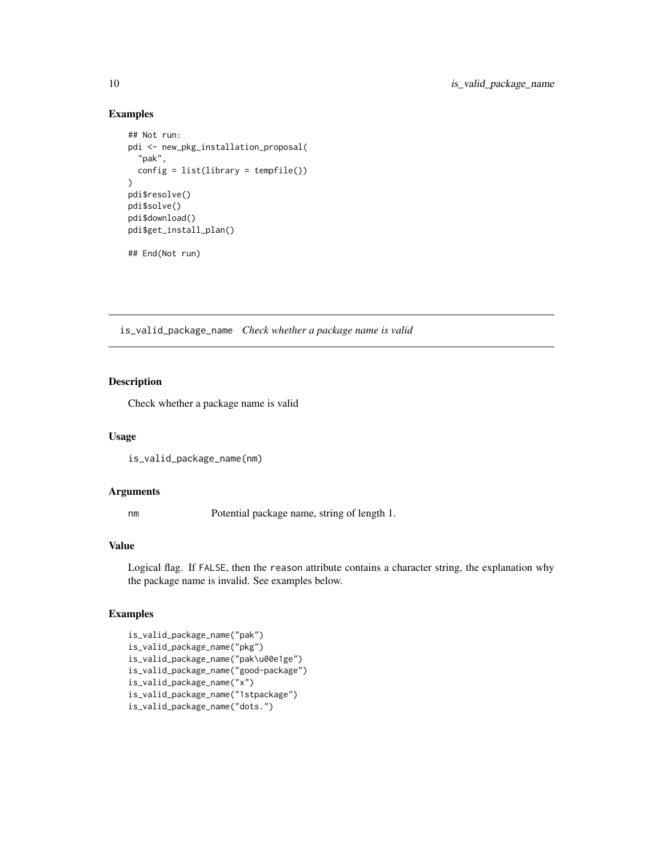#### Examples

```
## Not run:
pdi <- new_pkg_installation_proposal(
  "pak",
  config = list(library = tempfile()))
pdi$resolve()
pdi$solve()
pdi$download()
pdi$get_install_plan()
```
## End(Not run)

is\_valid\_package\_name *Check whether a package name is valid*

# Description

Check whether a package name is valid

# Usage

```
is_valid_package_name(nm)
```
#### Arguments

nm Potential package name, string of length 1.

#### Value

Logical flag. If FALSE, then the reason attribute contains a character string, the explanation why the package name is invalid. See examples below.

# Examples

```
is_valid_package_name("pak")
is_valid_package_name("pkg")
is_valid_package_name("pak\u00e1ge")
is_valid_package_name("good-package")
is_valid_package_name("x")
is_valid_package_name("1stpackage")
is_valid_package_name("dots.")
```
<span id="page-9-0"></span>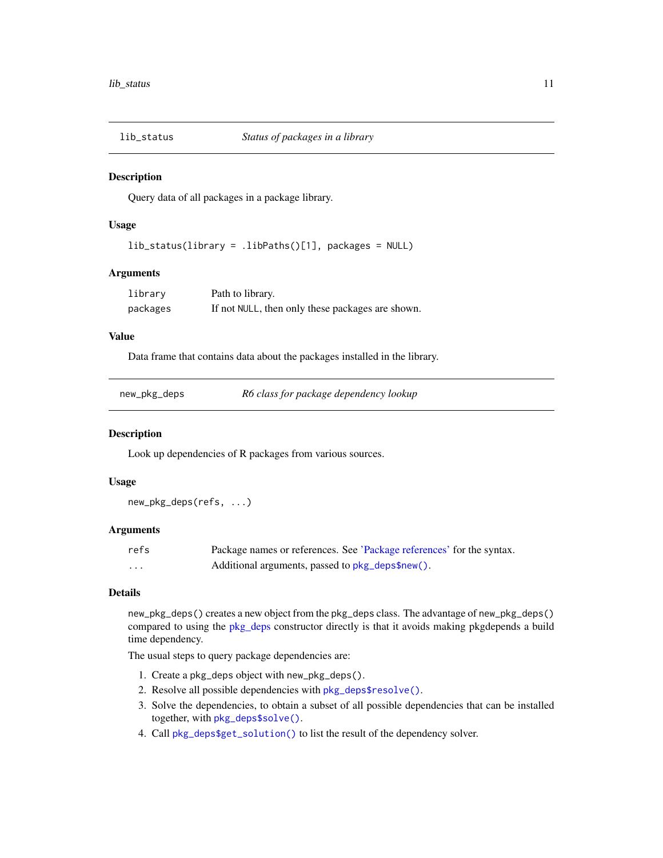<span id="page-10-0"></span>

#### **Description**

Query data of all packages in a package library.

# Usage

```
lib_status(library = .libPaths()[1], packages = NULL)
```
#### Arguments

| library  | Path to library.                                 |
|----------|--------------------------------------------------|
| packages | If not NULL, then only these packages are shown. |

# Value

Data frame that contains data about the packages installed in the library.

| new_pkg_deps |  |  |  |
|--------------|--|--|--|
|--------------|--|--|--|

 $R6$  class for package dependency lookup

#### <span id="page-10-1"></span>Description

Look up dependencies of R packages from various sources.

# Usage

new\_pkg\_deps(refs, ...)

# Arguments

| refs     | Package names or references. See 'Package references' for the syntax. |
|----------|-----------------------------------------------------------------------|
| $\cdots$ | Additional arguments, passed to pkg_deps\$new().                      |

# Details

new\_pkg\_deps() creates a new object from the pkg\_deps class. The advantage of new\_pkg\_deps() compared to using the [pkg\\_deps](#page-10-1) constructor directly is that it avoids making pkgdepends a build time dependency.

The usual steps to query package dependencies are:

- 1. Create a pkg\_deps object with new\_pkg\_deps().
- 2. Resolve all possible dependencies with [pkg\\_deps\\$resolve\(\)](#page-12-0).
- 3. Solve the dependencies, to obtain a subset of all possible dependencies that can be installed together, with [pkg\\_deps\\$solve\(\)](#page-12-1).
- 4. Call [pkg\\_deps\\$get\\_solution\(\)](#page-0-0) to list the result of the dependency solver.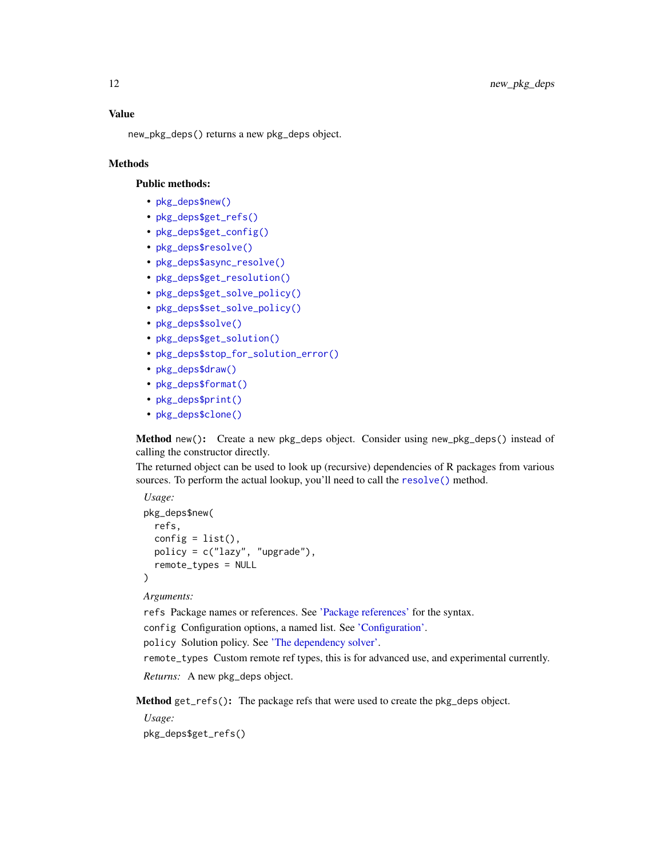<span id="page-11-2"></span>new\_pkg\_deps() returns a new pkg\_deps object.

# **Methods**

# Public methods:

- [pkg\\_deps\\$new\(\)](#page-11-0)
- [pkg\\_deps\\$get\\_refs\(\)](#page-11-1)
- [pkg\\_deps\\$get\\_config\(\)](#page-12-2)
- [pkg\\_deps\\$resolve\(\)](#page-12-0)
- [pkg\\_deps\\$async\\_resolve\(\)](#page-12-3)
- [pkg\\_deps\\$get\\_resolution\(\)](#page-12-4)
- [pkg\\_deps\\$get\\_solve\\_policy\(\)](#page-12-5)
- [pkg\\_deps\\$set\\_solve\\_policy\(\)](#page-12-6)
- [pkg\\_deps\\$solve\(\)](#page-12-1)
- [pkg\\_deps\\$get\\_solution\(\)](#page-13-0)
- [pkg\\_deps\\$stop\\_for\\_solution\\_error\(\)](#page-13-1)
- [pkg\\_deps\\$draw\(\)](#page-13-2)
- [pkg\\_deps\\$format\(\)](#page-13-3)
- [pkg\\_deps\\$print\(\)](#page-13-4)
- [pkg\\_deps\\$clone\(\)](#page-14-0)

<span id="page-11-0"></span>Method new(): Create a new pkg\_deps object. Consider using new\_pkg\_deps() instead of calling the constructor directly.

The returned object can be used to look up (recursive) dependencies of R packages from various sources. To perform the actual lookup, you'll need to call the [resolve\(\)](#page-12-0) method.

```
Usage:
pkg_deps$new(
  refs,
  config = list(),
  policy = c("lazy", "upgrade"),
  remote_types = NULL
)
```
*Arguments:*

refs Package names or references. See ['Package references'](#page-36-1) for the syntax.

config Configuration options, a named list. See ['Configuration'.](#page-32-1)

policy Solution policy. See ['The dependency solver'.](#page-43-1)

remote\_types Custom remote ref types, this is for advanced use, and experimental currently.

*Returns:* A new pkg\_deps object.

<span id="page-11-1"></span>Method get\_refs(): The package refs that were used to create the pkg\_deps object.

*Usage:*

pkg\_deps\$get\_refs()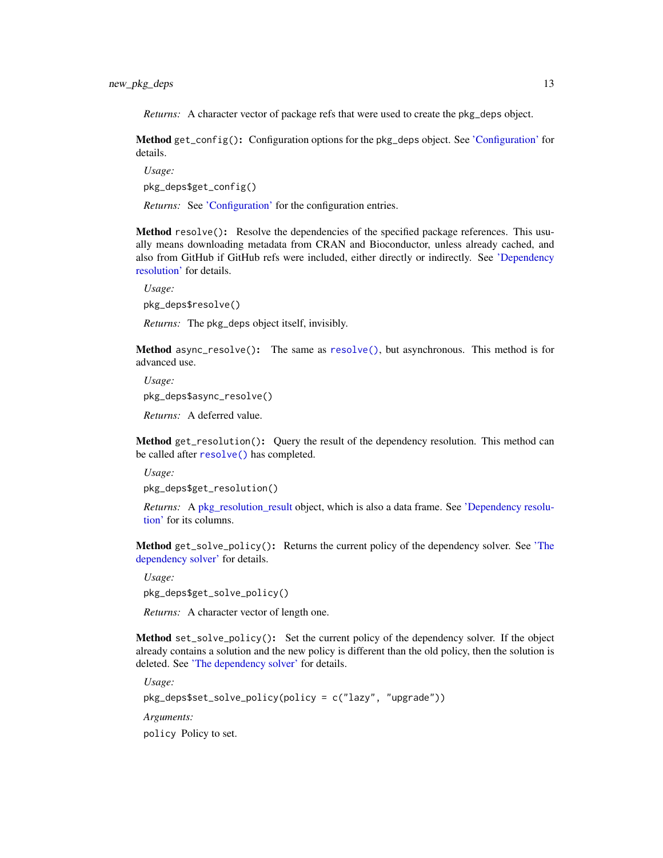<span id="page-12-7"></span>*Returns:* A character vector of package refs that were used to create the pkg\_deps object.

<span id="page-12-2"></span>Method get\_config(): Configuration options for the pkg\_deps object. See ['Configuration'](#page-32-1) for details.

*Usage:* pkg\_deps\$get\_config()

*Returns:* See ['Configuration'](#page-32-1) for the configuration entries.

<span id="page-12-0"></span>Method resolve(): Resolve the dependencies of the specified package references. This usually means downloading metadata from CRAN and Bioconductor, unless already cached, and also from GitHub if GitHub refs were included, either directly or indirectly. See ['Dependency](#page-40-1) [resolution'](#page-40-1) for details.

*Usage:*

pkg\_deps\$resolve()

*Returns:* The pkg\_deps object itself, invisibly.

<span id="page-12-3"></span>Method async\_resolve(): The same as [resolve\(\)](#page-12-0), but asynchronous. This method is for advanced use.

*Usage:* pkg\_deps\$async\_resolve()

*Returns:* A deferred value.

<span id="page-12-4"></span>Method get\_resolution(): Query the result of the dependency resolution. This method can be called after [resolve\(\)](#page-12-0) has completed.

*Usage:* pkg\_deps\$get\_resolution()

*Returns:* A [pkg\\_resolution\\_result](#page-40-2) object, which is also a data frame. See ['Dependency resolu](#page-40-1)[tion'](#page-40-1) for its columns.

<span id="page-12-5"></span>Method get\_solve\_policy(): Returns the current policy of the dependency solver. See ['The](#page-43-1) [dependency solver'](#page-43-1) for details.

*Usage:*

pkg\_deps\$get\_solve\_policy()

*Returns:* A character vector of length one.

<span id="page-12-6"></span>Method set\_solve\_policy(): Set the current policy of the dependency solver. If the object already contains a solution and the new policy is different than the old policy, then the solution is deleted. See ['The dependency solver'](#page-43-1) for details.

*Usage:*

pkg\_deps\$set\_solve\_policy(policy = c("lazy", "upgrade"))

*Arguments:*

<span id="page-12-1"></span>policy Policy to set.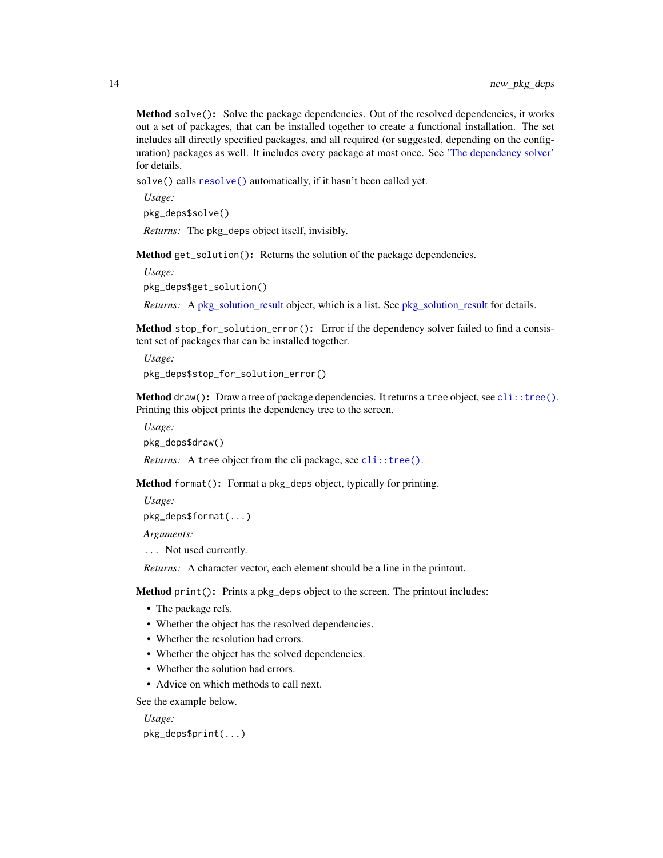<span id="page-13-5"></span>Method solve(): Solve the package dependencies. Out of the resolved dependencies, it works out a set of packages, that can be installed together to create a functional installation. The set includes all directly specified packages, and all required (or suggested, depending on the configuration) packages as well. It includes every package at most once. See ['The dependency solver'](#page-43-1) for details.

solve() calls [resolve\(\)](#page-12-0) automatically, if it hasn't been called yet.

*Usage:* pkg\_deps\$solve()

*Returns:* The pkg\_deps object itself, invisibly.

<span id="page-13-0"></span>Method get\_solution(): Returns the solution of the package dependencies.

*Usage:*

pkg\_deps\$get\_solution()

*Returns:* A [pkg\\_solution\\_result](#page-43-2) object, which is a list. See pkg\_solution\_result for details.

<span id="page-13-1"></span>Method stop\_for\_solution\_error(): Error if the dependency solver failed to find a consistent set of packages that can be installed together.

*Usage:* pkg\_deps\$stop\_for\_solution\_error()

<span id="page-13-2"></span>**Method** draw(): Draw a tree of package dependencies. It returns a tree object, see  $\text{cli}: \text{tree}($ ). Printing this object prints the dependency tree to the screen.

*Usage:* pkg\_deps\$draw()

*Returns:* A tree object from the cli package, see [cli::tree\(\)](#page-0-0).

<span id="page-13-3"></span>Method format(): Format a pkg\_deps object, typically for printing.

*Usage:*

pkg\_deps\$format(...)

*Arguments:*

... Not used currently.

*Returns:* A character vector, each element should be a line in the printout.

<span id="page-13-4"></span>Method print(): Prints a pkg\_deps object to the screen. The printout includes:

- The package refs.
- Whether the object has the resolved dependencies.
- Whether the resolution had errors.
- Whether the object has the solved dependencies.
- Whether the solution had errors.
- Advice on which methods to call next.

See the example below.

*Usage:*

pkg\_deps\$print(...)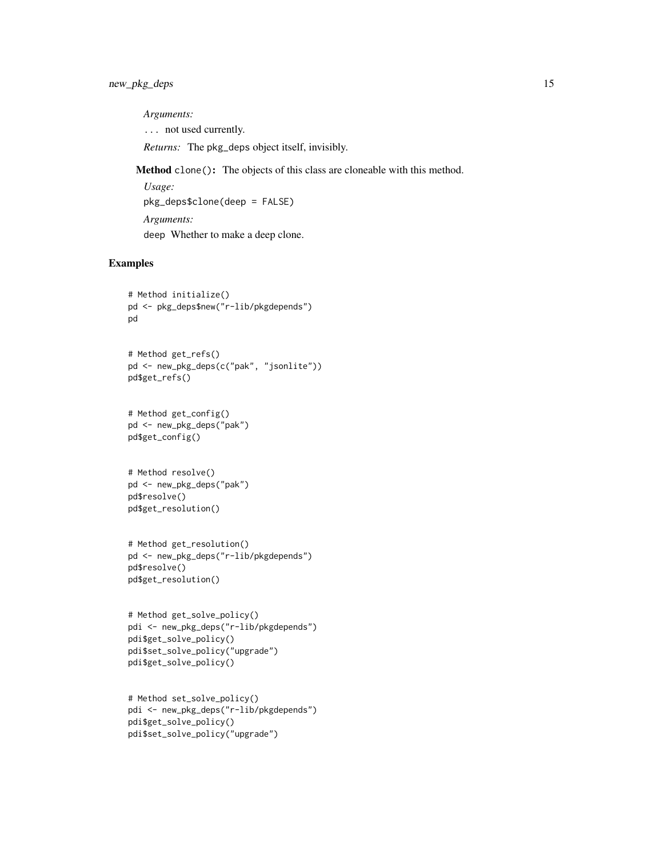*Arguments:*

... not used currently.

*Returns:* The pkg\_deps object itself, invisibly.

<span id="page-14-0"></span>Method clone(): The objects of this class are cloneable with this method.

*Usage:* pkg\_deps\$clone(deep = FALSE) *Arguments:* deep Whether to make a deep clone.

# Examples

```
# Method initialize()
pd <- pkg_deps$new("r-lib/pkgdepends")
pd
```

```
# Method get_refs()
pd <- new_pkg_deps(c("pak", "jsonlite"))
pd$get_refs()
```

```
# Method get_config()
pd <- new_pkg_deps("pak")
pd$get_config()
```

```
# Method resolve()
pd <- new_pkg_deps("pak")
pd$resolve()
pd$get_resolution()
```

```
# Method get_resolution()
pd <- new_pkg_deps("r-lib/pkgdepends")
pd$resolve()
pd$get_resolution()
```

```
# Method get_solve_policy()
pdi <- new_pkg_deps("r-lib/pkgdepends")
pdi$get_solve_policy()
pdi$set_solve_policy("upgrade")
pdi$get_solve_policy()
```

```
# Method set_solve_policy()
pdi <- new_pkg_deps("r-lib/pkgdepends")
pdi$get_solve_policy()
pdi$set_solve_policy("upgrade")
```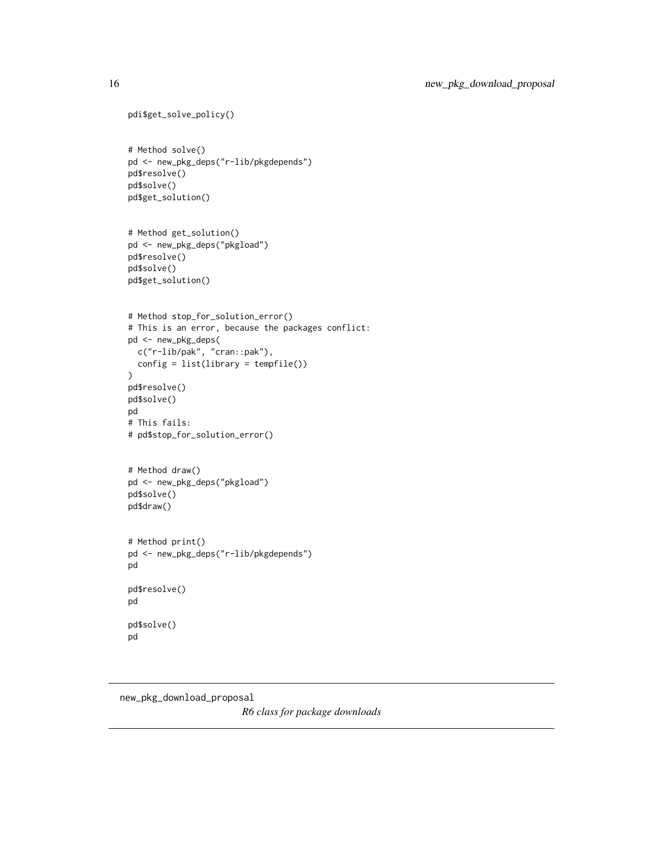```
pdi$get_solve_policy()
# Method solve()
pd <- new_pkg_deps("r-lib/pkgdepends")
pd$resolve()
pd$solve()
pd$get_solution()
# Method get_solution()
pd <- new_pkg_deps("pkgload")
pd$resolve()
pd$solve()
pd$get_solution()
# Method stop_for_solution_error()
# This is an error, because the packages conflict:
pd <- new_pkg_deps(
 c("r-lib/pak", "cran::pak"),
  config = list(library = tempfile())
\lambdapd$resolve()
pd$solve()
pd
# This fails:
# pd$stop_for_solution_error()
# Method draw()
pd <- new_pkg_deps("pkgload")
pd$solve()
pd$draw()
# Method print()
pd <- new_pkg_deps("r-lib/pkgdepends")
pd
pd$resolve()
pd
pd$solve()
pd
```
<span id="page-15-1"></span>new\_pkg\_download\_proposal *R6 class for package downloads*

<span id="page-15-0"></span>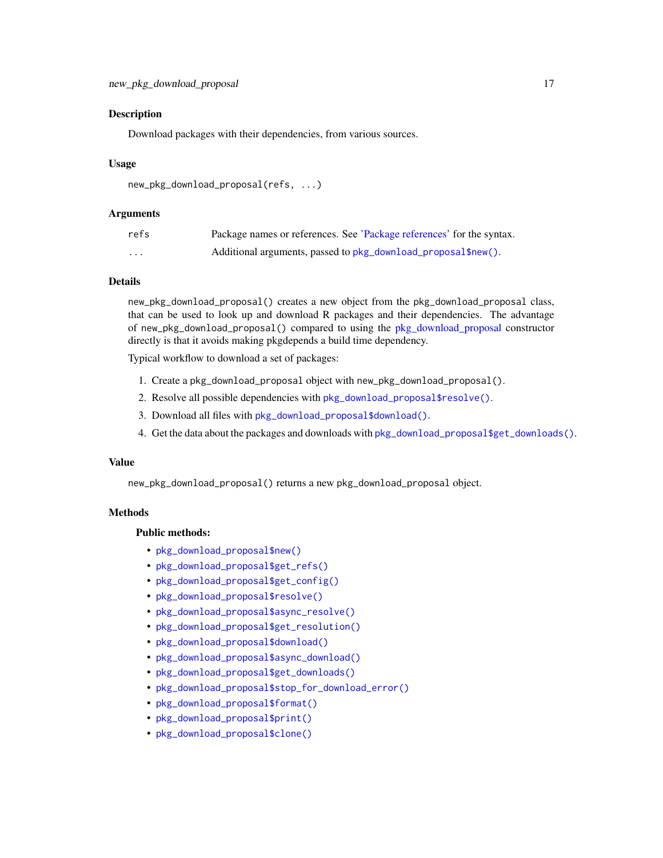#### <span id="page-16-0"></span>Description

Download packages with their dependencies, from various sources.

#### Usage

```
new_pkg_download_proposal(refs, ...)
```
#### Arguments

| refs     | Package names or references. See 'Package references' for the syntax. |
|----------|-----------------------------------------------------------------------|
| $\cdots$ | Additional arguments, passed to pkg_download_proposal\$new().         |

# Details

new\_pkg\_download\_proposal() creates a new object from the pkg\_download\_proposal class, that can be used to look up and download R packages and their dependencies. The advantage of new\_pkg\_download\_proposal() compared to using the [pkg\\_download\\_proposal](#page-15-1) constructor directly is that it avoids making pkgdepends a build time dependency.

Typical workflow to download a set of packages:

- 1. Create a pkg\_download\_proposal object with new\_pkg\_download\_proposal().
- 2. Resolve all possible dependencies with [pkg\\_download\\_proposal\\$resolve\(\)](#page-12-0).
- 3. Download all files with [pkg\\_download\\_proposal\\$download\(\)](#page-18-0).
- 4. Get the data about the packages and downloads with [pkg\\_download\\_proposal\\$get\\_downloads\(\)](#page-0-0).

#### Value

new\_pkg\_download\_proposal() returns a new pkg\_download\_proposal object.

# Methods

#### Public methods:

- [pkg\\_download\\_proposal\\$new\(\)](#page-11-0)
- [pkg\\_download\\_proposal\\$get\\_refs\(\)](#page-11-1)
- [pkg\\_download\\_proposal\\$get\\_config\(\)](#page-12-2)
- [pkg\\_download\\_proposal\\$resolve\(\)](#page-12-0)
- [pkg\\_download\\_proposal\\$async\\_resolve\(\)](#page-12-3)
- [pkg\\_download\\_proposal\\$get\\_resolution\(\)](#page-12-4)
- [pkg\\_download\\_proposal\\$download\(\)](#page-18-0)
- [pkg\\_download\\_proposal\\$async\\_download\(\)](#page-18-1)
- [pkg\\_download\\_proposal\\$get\\_downloads\(\)](#page-18-2)
- [pkg\\_download\\_proposal\\$stop\\_for\\_download\\_error\(\)](#page-18-3)
- [pkg\\_download\\_proposal\\$format\(\)](#page-13-3)
- [pkg\\_download\\_proposal\\$print\(\)](#page-13-4)
- [pkg\\_download\\_proposal\\$clone\(\)](#page-14-0)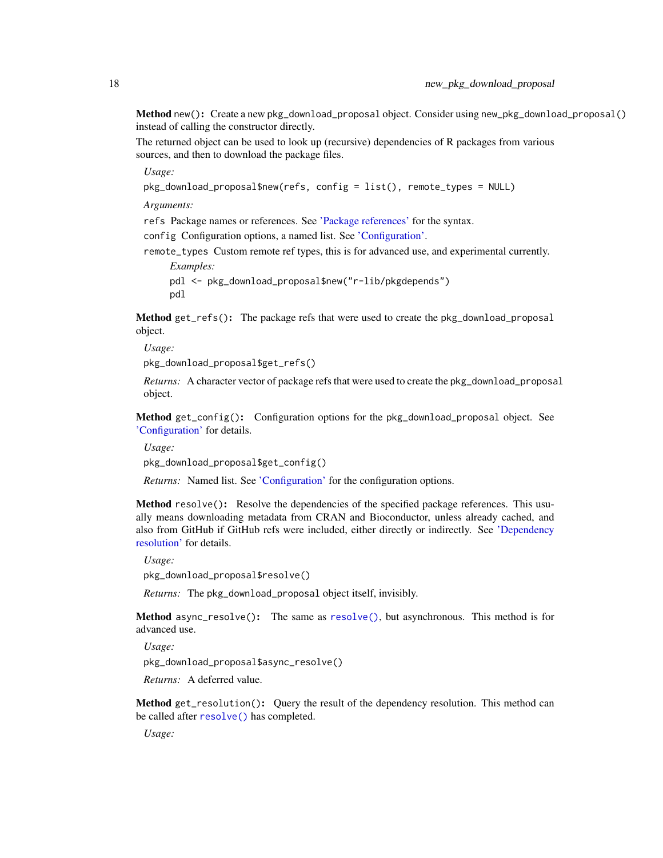<span id="page-17-0"></span>Method new(): Create a new pkg\_download\_proposal object. Consider using new\_pkg\_download\_proposal() instead of calling the constructor directly.

The returned object can be used to look up (recursive) dependencies of R packages from various sources, and then to download the package files.

*Usage:*

```
pkg_download_proposal$new(refs, config = list(), remote_types = NULL)
```
*Arguments:*

refs Package names or references. See ['Package references'](#page-36-1) for the syntax.

config Configuration options, a named list. See ['Configuration'.](#page-32-1)

remote\_types Custom remote ref types, this is for advanced use, and experimental currently.

*Examples:* pdl <- pkg\_download\_proposal\$new("r-lib/pkgdepends") pdl

Method get\_refs(): The package refs that were used to create the pkg\_download\_proposal object.

*Usage:*

pkg\_download\_proposal\$get\_refs()

*Returns:* A character vector of package refs that were used to create the pkg\_download\_proposal object.

Method get\_config(): Configuration options for the pkg\_download\_proposal object. See ['Configuration'](#page-32-1) for details.

*Usage:*

pkg\_download\_proposal\$get\_config()

*Returns:* Named list. See ['Configuration'](#page-32-1) for the configuration options.

Method resolve(): Resolve the dependencies of the specified package references. This usually means downloading metadata from CRAN and Bioconductor, unless already cached, and also from GitHub if GitHub refs were included, either directly or indirectly. See ['Dependency](#page-40-1) [resolution'](#page-40-1) for details.

*Usage:*

pkg\_download\_proposal\$resolve()

*Returns:* The pkg\_download\_proposal object itself, invisibly.

Method async\_resolve(): The same as [resolve\(\)](#page-12-0), but asynchronous. This method is for advanced use.

*Usage:*

pkg\_download\_proposal\$async\_resolve()

*Returns:* A deferred value.

Method get\_resolution(): Query the result of the dependency resolution. This method can be called after [resolve\(\)](#page-12-0) has completed.

*Usage:*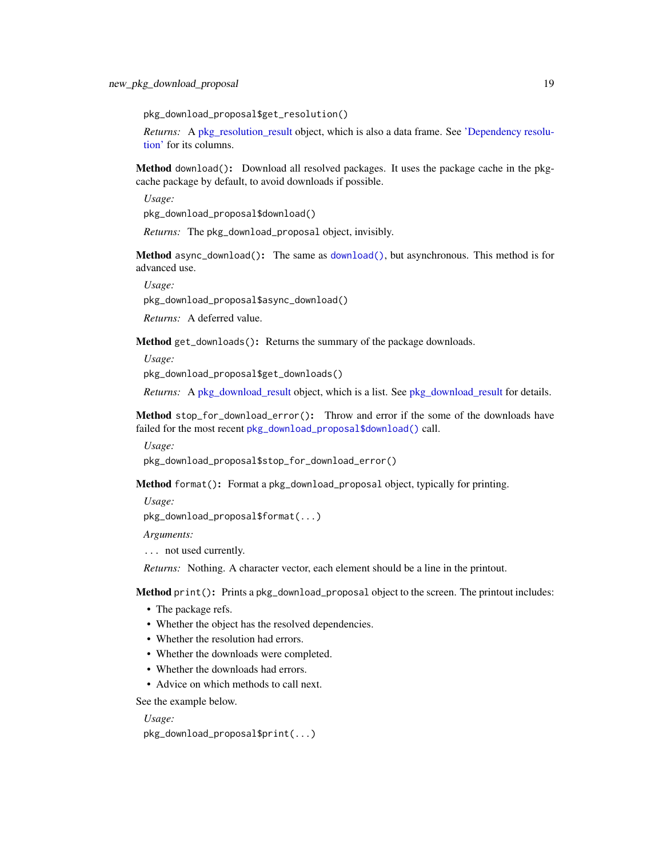<span id="page-18-4"></span>pkg\_download\_proposal\$get\_resolution()

*Returns:* A [pkg\\_resolution\\_result](#page-40-2) object, which is also a data frame. See ['Dependency resolu](#page-40-1)[tion'](#page-40-1) for its columns.

<span id="page-18-0"></span>Method download(): Download all resolved packages. It uses the package cache in the pkgcache package by default, to avoid downloads if possible.

*Usage:*

pkg\_download\_proposal\$download()

*Returns:* The pkg\_download\_proposal object, invisibly.

<span id="page-18-1"></span>Method async\_download(): The same as [download\(\)](#page-18-0), but asynchronous. This method is for advanced use.

*Usage:*

pkg\_download\_proposal\$async\_download()

*Returns:* A deferred value.

<span id="page-18-2"></span>Method get\_downloads(): Returns the summary of the package downloads.

*Usage:*

pkg\_download\_proposal\$get\_downloads()

*Returns:* A [pkg\\_download\\_result](#page-35-2) object, which is a list. See [pkg\\_download\\_result](#page-35-2) for details.

<span id="page-18-3"></span>Method stop\_for\_download\_error(): Throw and error if the some of the downloads have failed for the most recent [pkg\\_download\\_proposal\\$download\(\)](#page-18-0) call.

*Usage:*

pkg\_download\_proposal\$stop\_for\_download\_error()

Method format(): Format a pkg\_download\_proposal object, typically for printing.

*Usage:*

pkg\_download\_proposal\$format(...)

*Arguments:*

... not used currently.

*Returns:* Nothing. A character vector, each element should be a line in the printout.

Method print(): Prints a pkg\_download\_proposal object to the screen. The printout includes:

- The package refs.
- Whether the object has the resolved dependencies.
- Whether the resolution had errors.
- Whether the downloads were completed.
- Whether the downloads had errors.
- Advice on which methods to call next.

See the example below.

*Usage:*

pkg\_download\_proposal\$print(...)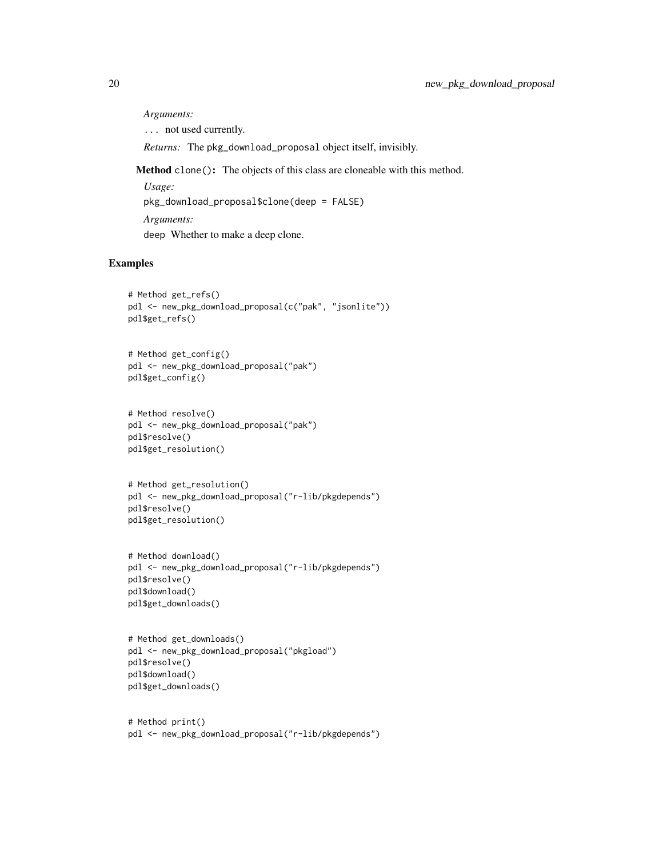*Arguments:*

... not used currently.

*Returns:* The pkg\_download\_proposal object itself, invisibly.

Method clone(): The objects of this class are cloneable with this method.

*Usage:* pkg\_download\_proposal\$clone(deep = FALSE) *Arguments:* deep Whether to make a deep clone.

# Examples

```
# Method get_refs()
pdl <- new_pkg_download_proposal(c("pak", "jsonlite"))
pdl$get_refs()
```

```
# Method get_config()
pdl <- new_pkg_download_proposal("pak")
pdl$get_config()
```

```
# Method resolve()
pdl <- new_pkg_download_proposal("pak")
pdl$resolve()
pdl$get_resolution()
```

```
# Method get_resolution()
pdl <- new_pkg_download_proposal("r-lib/pkgdepends")
pdl$resolve()
pdl$get_resolution()
```

```
# Method download()
pdl <- new_pkg_download_proposal("r-lib/pkgdepends")
pdl$resolve()
pdl$download()
pdl$get_downloads()
```

```
# Method get_downloads()
pdl <- new_pkg_download_proposal("pkgload")
pdl$resolve()
pdl$download()
pdl$get_downloads()
```
# Method print() pdl <- new\_pkg\_download\_proposal("r-lib/pkgdepends")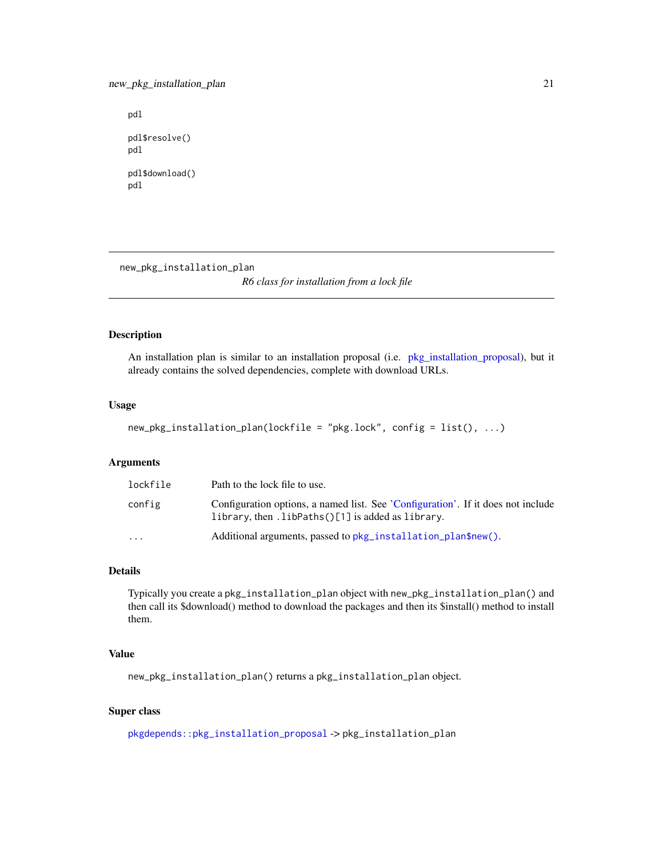# <span id="page-20-0"></span>new\_pkg\_installation\_plan 21

pdl pdl\$resolve() pdl pdl\$download()

pdl

new\_pkg\_installation\_plan

*R6 class for installation from a lock file*

# Description

An installation plan is similar to an installation proposal (i.e. [pkg\\_installation\\_proposal\)](#page-22-1), but it already contains the solved dependencies, complete with download URLs.

#### Usage

```
new_pkg_installation_plan(lockfile = "pkg.lock", config = list(), ...)
```
#### Arguments

| lockfile                | Path to the lock file to use.                                                                                                         |
|-------------------------|---------------------------------------------------------------------------------------------------------------------------------------|
| config                  | Configuration options, a named list. See 'Configuration'. If it does not include<br>library, then .libPaths()[1] is added as library. |
| $\cdot$ $\cdot$ $\cdot$ | Additional arguments, passed to pkg_installation_plan\$new().                                                                         |

# Details

Typically you create a pkg\_installation\_plan object with new\_pkg\_installation\_plan() and then call its \$download() method to download the packages and then its \$install() method to install them.

#### Value

new\_pkg\_installation\_plan() returns a pkg\_installation\_plan object.

## Super class

[pkgdepends::pkg\\_installation\\_proposal](#page-0-0) -> pkg\_installation\_plan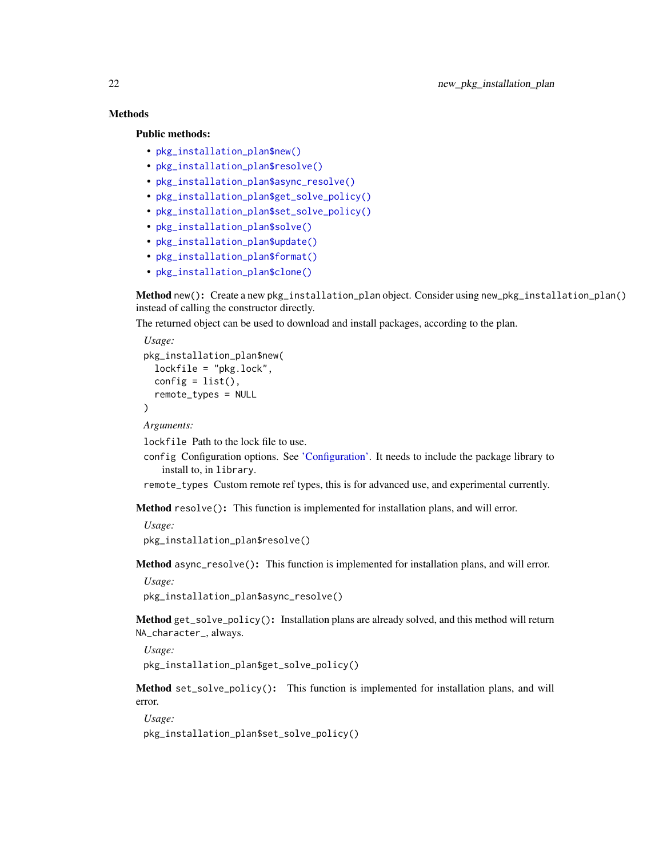# Methods

Public methods:

- [pkg\\_installation\\_plan\\$new\(\)](#page-11-0)
- [pkg\\_installation\\_plan\\$resolve\(\)](#page-12-0)
- [pkg\\_installation\\_plan\\$async\\_resolve\(\)](#page-12-3)
- [pkg\\_installation\\_plan\\$get\\_solve\\_policy\(\)](#page-12-5)
- [pkg\\_installation\\_plan\\$set\\_solve\\_policy\(\)](#page-12-6)
- [pkg\\_installation\\_plan\\$solve\(\)](#page-12-1)
- [pkg\\_installation\\_plan\\$update\(\)](#page-22-2)
- [pkg\\_installation\\_plan\\$format\(\)](#page-13-3)
- [pkg\\_installation\\_plan\\$clone\(\)](#page-14-0)

Method new(): Create a new pkg\_installation\_plan object. Consider using new\_pkg\_installation\_plan() instead of calling the constructor directly.

The returned object can be used to download and install packages, according to the plan.

*Usage:*

```
pkg_installation_plan$new(
  lockfile = "pkg.lock",
  config = list(),
  remote_types = NULL
)
```
*Arguments:*

lockfile Path to the lock file to use.

config Configuration options. See ['Configuration'.](#page-32-1) It needs to include the package library to install to, in library.

remote\_types Custom remote ref types, this is for advanced use, and experimental currently.

Method resolve(): This function is implemented for installation plans, and will error.

*Usage:* pkg\_installation\_plan\$resolve()

Method async\_resolve(): This function is implemented for installation plans, and will error.

```
Usage:
```
pkg\_installation\_plan\$async\_resolve()

Method get\_solve\_policy(): Installation plans are already solved, and this method will return NA\_character\_, always.

*Usage:*

pkg\_installation\_plan\$get\_solve\_policy()

Method set\_solve\_policy(): This function is implemented for installation plans, and will error.

*Usage:*

pkg\_installation\_plan\$set\_solve\_policy()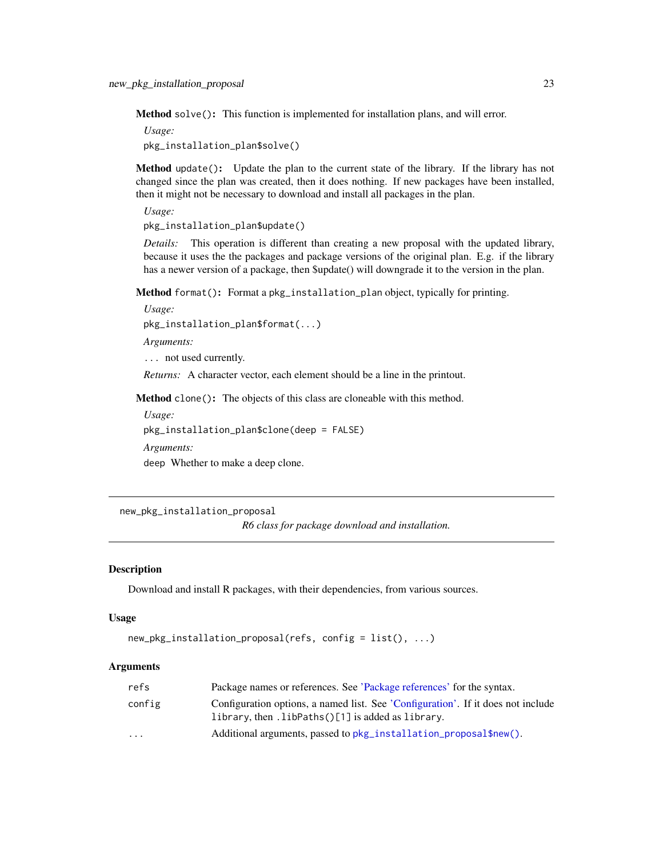<span id="page-22-0"></span>Method solve(): This function is implemented for installation plans, and will error.

*Usage:*

pkg\_installation\_plan\$solve()

<span id="page-22-2"></span>Method update(): Update the plan to the current state of the library. If the library has not changed since the plan was created, then it does nothing. If new packages have been installed, then it might not be necessary to download and install all packages in the plan.

*Usage:*

pkg\_installation\_plan\$update()

*Details:* This operation is different than creating a new proposal with the updated library, because it uses the the packages and package versions of the original plan. E.g. if the library has a newer version of a package, then \$update() will downgrade it to the version in the plan.

Method format(): Format a pkg\_installation\_plan object, typically for printing.

*Usage:* pkg\_installation\_plan\$format(...)

*Arguments:*

... not used currently.

*Returns:* A character vector, each element should be a line in the printout.

Method clone(): The objects of this class are cloneable with this method.

*Usage:* pkg\_installation\_plan\$clone(deep = FALSE) *Arguments:*

deep Whether to make a deep clone.

<span id="page-22-3"></span>new\_pkg\_installation\_proposal

*R6 class for package download and installation.*

#### <span id="page-22-1"></span>**Description**

Download and install R packages, with their dependencies, from various sources.

#### Usage

```
new_pkg_installation_proposal(refs, config = list(), ...)
```
# Arguments

| refs                    | Package names or references. See 'Package references' for the syntax.                                                                 |
|-------------------------|---------------------------------------------------------------------------------------------------------------------------------------|
| config                  | Configuration options, a named list. See 'Configuration'. If it does not include<br>library, then .libPaths()[1] is added as library. |
| $\cdot$ $\cdot$ $\cdot$ | Additional arguments, passed to pkg_installation_proposal\$new().                                                                     |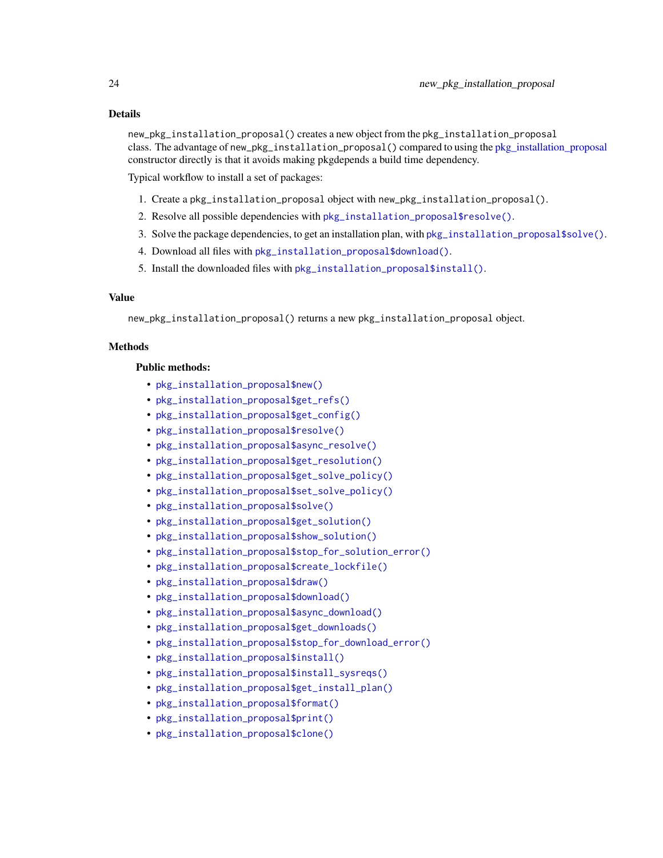# <span id="page-23-0"></span>Details

new\_pkg\_installation\_proposal() creates a new object from the pkg\_installation\_proposal class. The advantage of new\_pkg\_installation\_proposal() compared to using the [pkg\\_installation\\_proposal](#page-22-1) constructor directly is that it avoids making pkgdepends a build time dependency.

Typical workflow to install a set of packages:

- 1. Create a pkg\_installation\_proposal object with new\_pkg\_installation\_proposal().
- 2. Resolve all possible dependencies with [pkg\\_installation\\_proposal\\$resolve\(\)](#page-12-0).
- 3. Solve the package dependencies, to get an installation plan, with [pkg\\_installation\\_proposal\\$solve\(\)](#page-12-1).
- 4. Download all files with [pkg\\_installation\\_proposal\\$download\(\)](#page-18-0).
- 5. Install the downloaded files with [pkg\\_installation\\_proposal\\$install\(\)](#page-0-0).

# Value

new\_pkg\_installation\_proposal() returns a new pkg\_installation\_proposal object.

# Methods

#### Public methods:

- [pkg\\_installation\\_proposal\\$new\(\)](#page-11-0)
- [pkg\\_installation\\_proposal\\$get\\_refs\(\)](#page-11-1)
- [pkg\\_installation\\_proposal\\$get\\_config\(\)](#page-12-2)
- [pkg\\_installation\\_proposal\\$resolve\(\)](#page-12-0)
- [pkg\\_installation\\_proposal\\$async\\_resolve\(\)](#page-12-3)
- [pkg\\_installation\\_proposal\\$get\\_resolution\(\)](#page-12-4)
- [pkg\\_installation\\_proposal\\$get\\_solve\\_policy\(\)](#page-12-5)
- [pkg\\_installation\\_proposal\\$set\\_solve\\_policy\(\)](#page-12-6)
- [pkg\\_installation\\_proposal\\$solve\(\)](#page-12-1)
- [pkg\\_installation\\_proposal\\$get\\_solution\(\)](#page-13-0)
- [pkg\\_installation\\_proposal\\$show\\_solution\(\)](#page-25-0)
- [pkg\\_installation\\_proposal\\$stop\\_for\\_solution\\_error\(\)](#page-13-1)
- [pkg\\_installation\\_proposal\\$create\\_lockfile\(\)](#page-26-0)
- [pkg\\_installation\\_proposal\\$draw\(\)](#page-13-2)
- [pkg\\_installation\\_proposal\\$download\(\)](#page-18-0)
- [pkg\\_installation\\_proposal\\$async\\_download\(\)](#page-18-1)
- [pkg\\_installation\\_proposal\\$get\\_downloads\(\)](#page-18-2)
- [pkg\\_installation\\_proposal\\$stop\\_for\\_download\\_error\(\)](#page-18-3)
- [pkg\\_installation\\_proposal\\$install\(\)](#page-27-0)
- [pkg\\_installation\\_proposal\\$install\\_sysreqs\(\)](#page-27-1)
- [pkg\\_installation\\_proposal\\$get\\_install\\_plan\(\)](#page-27-2)
- [pkg\\_installation\\_proposal\\$format\(\)](#page-13-3)
- [pkg\\_installation\\_proposal\\$print\(\)](#page-13-4)
- [pkg\\_installation\\_proposal\\$clone\(\)](#page-14-0)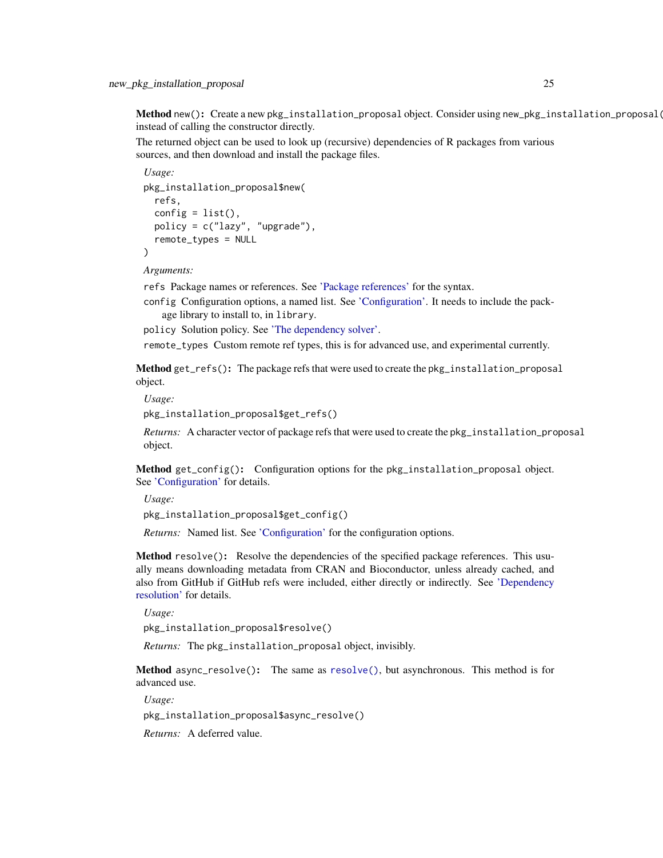<span id="page-24-0"></span>Method new(): Create a new pkg\_installation\_proposal object. Consider using new\_pkg\_installation\_proposal( instead of calling the constructor directly.

The returned object can be used to look up (recursive) dependencies of R packages from various sources, and then download and install the package files.

*Usage:* pkg\_installation\_proposal\$new( refs, config =  $list()$ , policy = c("lazy", "upgrade"), remote\_types = NULL )

*Arguments:*

refs Package names or references. See ['Package references'](#page-36-1) for the syntax.

config Configuration options, a named list. See ['Configuration'.](#page-32-1) It needs to include the package library to install to, in library.

policy Solution policy. See ['The dependency solver'.](#page-43-1)

remote\_types Custom remote ref types, this is for advanced use, and experimental currently.

Method get\_refs(): The package refs that were used to create the pkg\_installation\_proposal object.

*Usage:*

pkg\_installation\_proposal\$get\_refs()

*Returns:* A character vector of package refs that were used to create the pkg\_installation\_proposal object.

Method get\_config(): Configuration options for the pkg\_installation\_proposal object. See ['Configuration'](#page-32-1) for details.

*Usage:* pkg\_installation\_proposal\$get\_config()

*Returns:* Named list. See ['Configuration'](#page-32-1) for the configuration options.

Method resolve(): Resolve the dependencies of the specified package references. This usually means downloading metadata from CRAN and Bioconductor, unless already cached, and also from GitHub if GitHub refs were included, either directly or indirectly. See ['Dependency](#page-40-1) [resolution'](#page-40-1) for details.

*Usage:*

pkg\_installation\_proposal\$resolve()

*Returns:* The pkg\_installation\_proposal object, invisibly.

Method async\_resolve(): The same as [resolve\(\)](#page-12-0), but asynchronous. This method is for advanced use.

*Usage:*

pkg\_installation\_proposal\$async\_resolve()

*Returns:* A deferred value.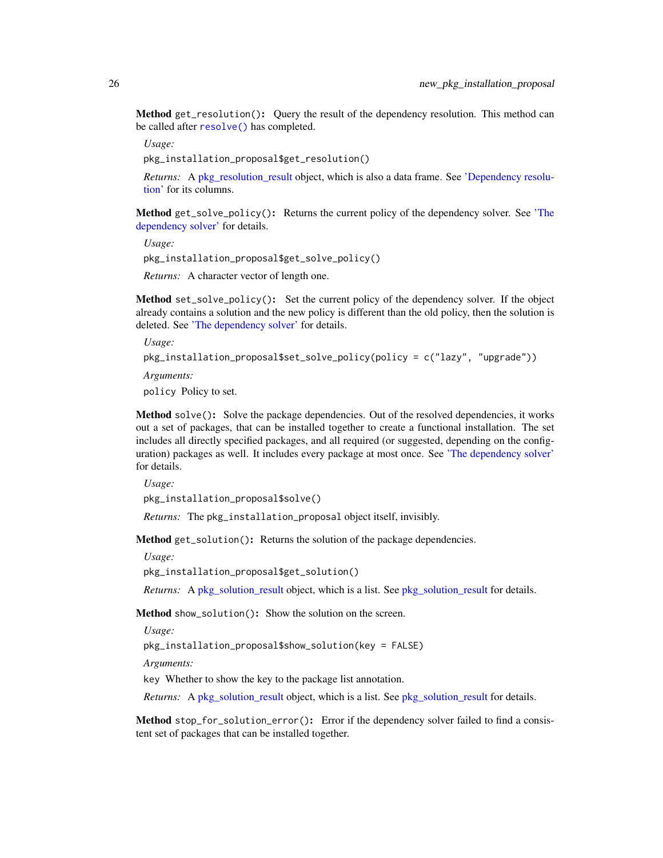<span id="page-25-1"></span>Method get\_resolution(): Query the result of the dependency resolution. This method can be called after [resolve\(\)](#page-12-0) has completed.

*Usage:*

pkg\_installation\_proposal\$get\_resolution()

*Returns:* A [pkg\\_resolution\\_result](#page-40-2) object, which is also a data frame. See ['Dependency resolu](#page-40-1)[tion'](#page-40-1) for its columns.

Method get\_solve\_policy(): Returns the current policy of the dependency solver. See ['The](#page-43-1) [dependency solver'](#page-43-1) for details.

*Usage:*

pkg\_installation\_proposal\$get\_solve\_policy()

*Returns:* A character vector of length one.

**Method** set\_solve\_policy $()$ : Set the current policy of the dependency solver. If the object already contains a solution and the new policy is different than the old policy, then the solution is deleted. See ['The dependency solver'](#page-43-1) for details.

*Usage:*

```
pkg_installation_proposal$set_solve_policy(policy = c("lazy", "upgrade"))
```
*Arguments:*

policy Policy to set.

Method solve(): Solve the package dependencies. Out of the resolved dependencies, it works out a set of packages, that can be installed together to create a functional installation. The set includes all directly specified packages, and all required (or suggested, depending on the configuration) packages as well. It includes every package at most once. See ['The dependency solver'](#page-43-1) for details.

*Usage:*

pkg\_installation\_proposal\$solve()

*Returns:* The pkg\_installation\_proposal object itself, invisibly.

Method get\_solution(): Returns the solution of the package dependencies.

*Usage:*

pkg\_installation\_proposal\$get\_solution()

*Returns:* A [pkg\\_solution\\_result](#page-43-2) object, which is a list. See pkg\_solution\_result for details.

<span id="page-25-0"></span>Method show\_solution(): Show the solution on the screen.

*Usage:*

pkg\_installation\_proposal\$show\_solution(key = FALSE)

*Arguments:*

key Whether to show the key to the package list annotation.

*Returns:* A [pkg\\_solution\\_result](#page-43-2) object, which is a list. See pkg\_solution\_result for details.

Method stop\_for\_solution\_error(): Error if the dependency solver failed to find a consistent set of packages that can be installed together.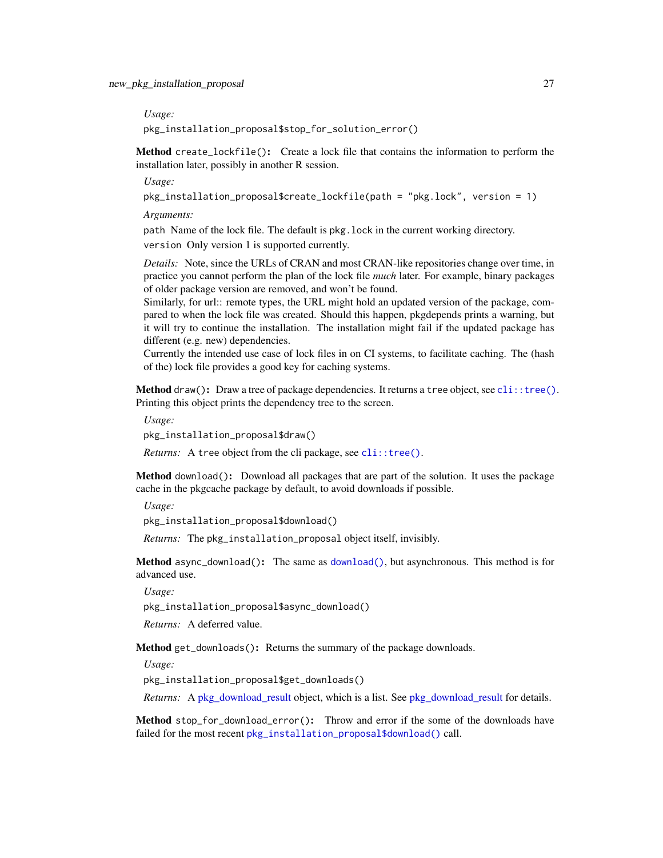<span id="page-26-1"></span>*Usage:*

pkg\_installation\_proposal\$stop\_for\_solution\_error()

<span id="page-26-0"></span>Method create\_lockfile(): Create a lock file that contains the information to perform the installation later, possibly in another R session.

*Usage:*

pkg\_installation\_proposal\$create\_lockfile(path = "pkg.lock", version = 1)

*Arguments:*

path Name of the lock file. The default is pkg.lock in the current working directory. version Only version 1 is supported currently.

*Details:* Note, since the URLs of CRAN and most CRAN-like repositories change over time, in practice you cannot perform the plan of the lock file *much* later. For example, binary packages of older package version are removed, and won't be found.

Similarly, for url:: remote types, the URL might hold an updated version of the package, compared to when the lock file was created. Should this happen, pkgdepends prints a warning, but it will try to continue the installation. The installation might fail if the updated package has different (e.g. new) dependencies.

Currently the intended use case of lock files in on CI systems, to facilitate caching. The (hash of the) lock file provides a good key for caching systems.

**Method** draw(): Draw a tree of package dependencies. It returns a tree object, see  $\text{cli}: \text{tree}($ ). Printing this object prints the dependency tree to the screen.

*Usage:*

pkg\_installation\_proposal\$draw()

*Returns:* A tree object from the cli package, see [cli::tree\(\)](#page-0-0).

Method download(): Download all packages that are part of the solution. It uses the package cache in the pkgcache package by default, to avoid downloads if possible.

*Usage:*

pkg\_installation\_proposal\$download()

*Returns:* The pkg\_installation\_proposal object itself, invisibly.

Method async\_download(): The same as [download\(\)](#page-18-0), but asynchronous. This method is for advanced use.

*Usage:*

pkg\_installation\_proposal\$async\_download()

*Returns:* A deferred value.

Method get\_downloads(): Returns the summary of the package downloads.

*Usage:*

pkg\_installation\_proposal\$get\_downloads()

*Returns:* A [pkg\\_download\\_result](#page-35-2) object, which is a list. See [pkg\\_download\\_result](#page-35-2) for details.

Method stop\_for\_download\_error(): Throw and error if the some of the downloads have failed for the most recent [pkg\\_installation\\_proposal\\$download\(\)](#page-18-0) call.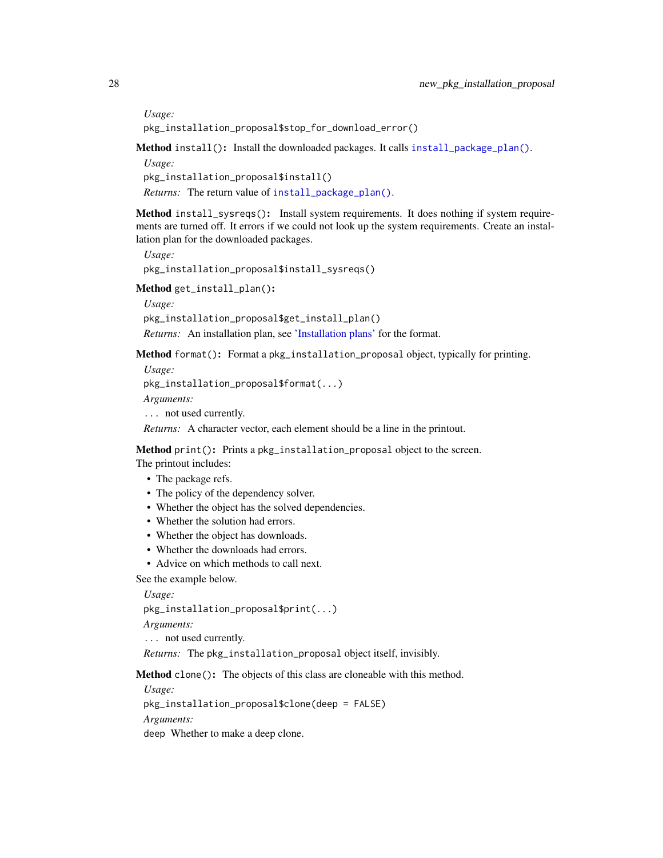*Usage:*

pkg\_installation\_proposal\$stop\_for\_download\_error()

<span id="page-27-0"></span>Method install(): Install the downloaded packages. It calls [install\\_package\\_plan\(\)](#page-7-1).

*Usage:* pkg\_installation\_proposal\$install() *Returns:* The return value of [install\\_package\\_plan\(\)](#page-7-1).

<span id="page-27-1"></span>Method install\_sysreqs(): Install system requirements. It does nothing if system requirements are turned off. It errors if we could not look up the system requirements. Create an installation plan for the downloaded packages.

*Usage:* pkg\_installation\_proposal\$install\_sysreqs()

<span id="page-27-2"></span>Method get\_install\_plan():

*Usage:* pkg\_installation\_proposal\$get\_install\_plan() *Returns:* An installation plan, see ['Installation plans'](#page-8-1) for the format.

Method format(): Format a pkg\_installation\_proposal object, typically for printing.

*Usage:*

pkg\_installation\_proposal\$format(...)

*Arguments:*

... not used currently.

*Returns:* A character vector, each element should be a line in the printout.

Method print(): Prints a pkg\_installation\_proposal object to the screen.

- The printout includes:
	- The package refs.
	- The policy of the dependency solver.
	- Whether the object has the solved dependencies.
	- Whether the solution had errors.
	- Whether the object has downloads.
	- Whether the downloads had errors.
	- Advice on which methods to call next.

See the example below.

*Usage:*

pkg\_installation\_proposal\$print(...)

*Arguments:*

... not used currently.

*Returns:* The pkg\_installation\_proposal object itself, invisibly.

Method clone(): The objects of this class are cloneable with this method.

*Usage:*

pkg\_installation\_proposal\$clone(deep = FALSE)

*Arguments:*

deep Whether to make a deep clone.

<span id="page-27-3"></span>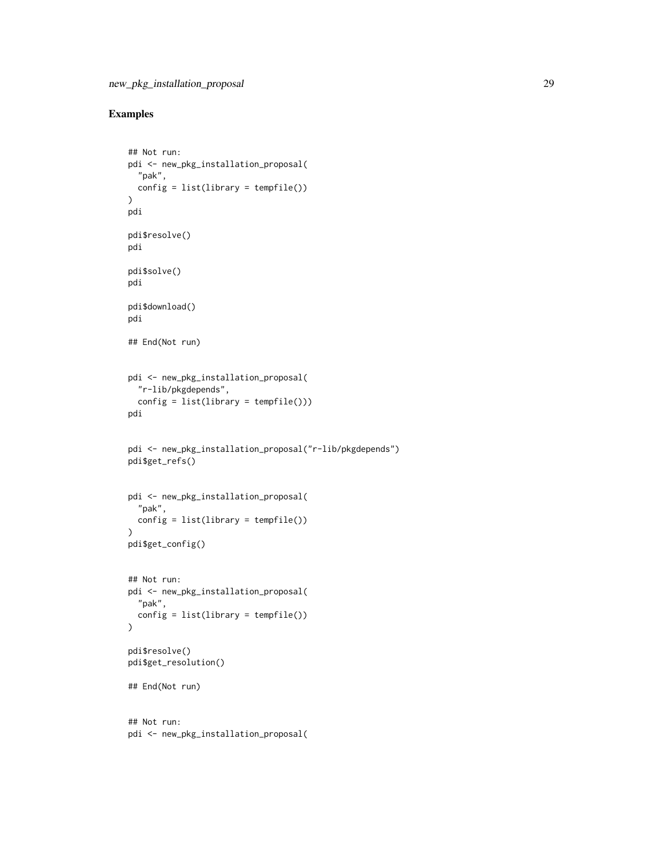# Examples

```
## Not run:
pdi <- new_pkg_installation_proposal(
  "pak",
 config = list(library = tempfile())
)
pdi
pdi$resolve()
pdi
pdi$solve()
pdi
pdi$download()
pdi
## End(Not run)
pdi <- new_pkg_installation_proposal(
  "r-lib/pkgdepends",
 config = list(library = tempfile())pdi
pdi <- new_pkg_installation_proposal("r-lib/pkgdepends")
pdi$get_refs()
pdi <- new_pkg_installation_proposal(
  "pak",
 config = list(library = template()))
pdi$get_config()
## Not run:
pdi <- new_pkg_installation_proposal(
  "pak",
  config = list(library = template())\mathcal{L}pdi$resolve()
pdi$get_resolution()
## End(Not run)
## Not run:
pdi <- new_pkg_installation_proposal(
```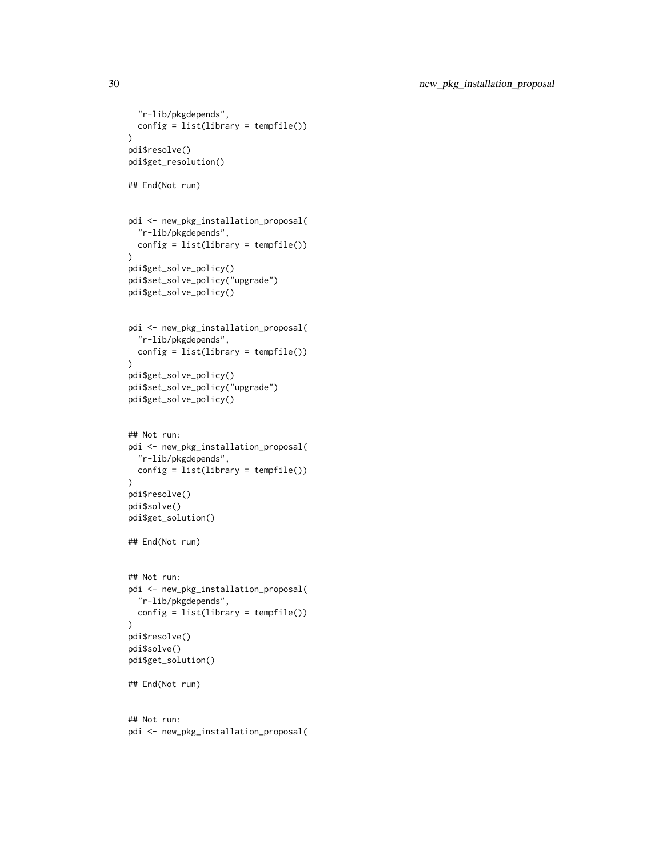```
"r-lib/pkgdepends",
 config = list(library = template()))
pdi$resolve()
pdi$get_resolution()
## End(Not run)
pdi <- new_pkg_installation_proposal(
  "r-lib/pkgdepends",
  config = list(library = template()))
pdi$get_solve_policy()
pdi$set_solve_policy("upgrade")
pdi$get_solve_policy()
pdi <- new_pkg_installation_proposal(
  "r-lib/pkgdepends",
  config = list(library = tempfile())
\lambdapdi$get_solve_policy()
pdi$set_solve_policy("upgrade")
pdi$get_solve_policy()
## Not run:
pdi <- new_pkg_installation_proposal(
  "r-lib/pkgdepends",
 config = list(library = tempfile())
\mathcal{L}pdi$resolve()
pdi$solve()
pdi$get_solution()
## End(Not run)
## Not run:
pdi <- new_pkg_installation_proposal(
  "r-lib/pkgdepends",
  config = list(library = tempfile())
)
pdi$resolve()
pdi$solve()
pdi$get_solution()
## End(Not run)
## Not run:
pdi <- new_pkg_installation_proposal(
```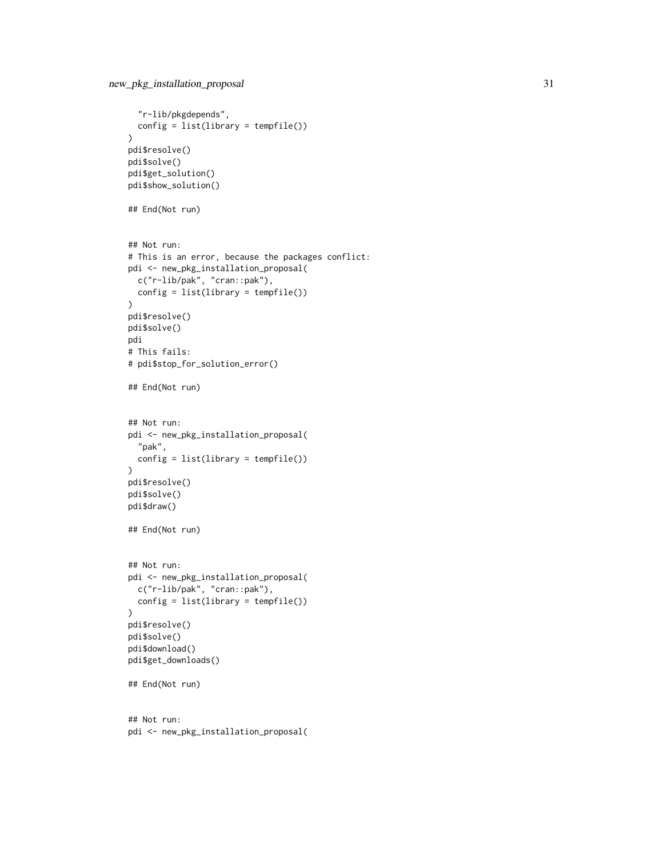```
"r-lib/pkgdepends",
  config = list(library = template()))
pdi$resolve()
pdi$solve()
pdi$get_solution()
pdi$show_solution()
## End(Not run)
## Not run:
# This is an error, because the packages conflict:
pdi <- new_pkg_installation_proposal(
  c("r-lib/pak", "cran::pak"),
  config = list(library = tempfile())
)
pdi$resolve()
pdi$solve()
pdi
# This fails:
# pdi$stop_for_solution_error()
## End(Not run)
## Not run:
pdi <- new_pkg_installation_proposal(
  "pak",
  config = list(library = tempfile())
\mathcal{L}pdi$resolve()
pdi$solve()
pdi$draw()
## End(Not run)
## Not run:
pdi <- new_pkg_installation_proposal(
  c("r-lib/pak", "cran::pak"),
  config = list(library = tempfile())
)
pdi$resolve()
pdi$solve()
pdi$download()
pdi$get_downloads()
## End(Not run)
## Not run:
pdi <- new_pkg_installation_proposal(
```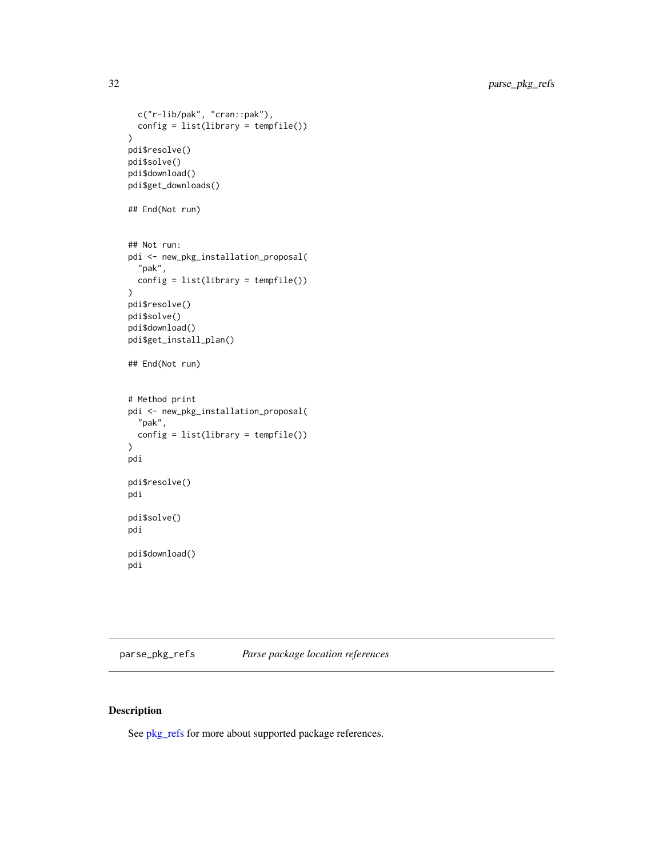```
c("r-lib/pak", "cran::pak"),
  config = list(library = template()))
pdi$resolve()
pdi$solve()
pdi$download()
pdi$get_downloads()
## End(Not run)
## Not run:
pdi <- new_pkg_installation_proposal(
  "pak",
 config = list(library = tempfile())
)
pdi$resolve()
pdi$solve()
pdi$download()
pdi$get_install_plan()
## End(Not run)
# Method print
pdi <- new_pkg_installation_proposal(
  "pak",
 config = list(library = tempfile())
)
pdi
pdi$resolve()
pdi
pdi$solve()
pdi
pdi$download()
pdi
```
<span id="page-31-1"></span>parse\_pkg\_refs *Parse package location references*

# Description

See [pkg\\_refs](#page-36-1) for more about supported package references.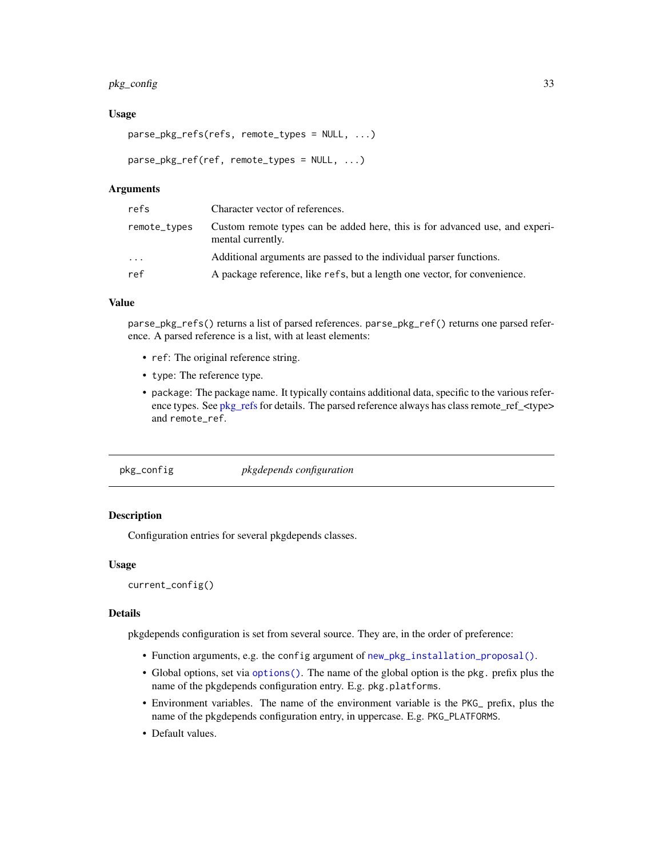# <span id="page-32-0"></span>pkg\_config 33

#### Usage

```
parse_pkg_refs(refs, remote_types = NULL, ...)
```

```
parse_pkg_ref(ref, remote_types = NULL, ...)
```
#### Arguments

| refs         | Character vector of references.                                                                   |
|--------------|---------------------------------------------------------------------------------------------------|
| remote_types | Custom remote types can be added here, this is for advanced use, and experi-<br>mental currently. |
| $\cdot$      | Additional arguments are passed to the individual parser functions.                               |
| ref          | A package reference, like refs, but a length one vector, for convenience.                         |

#### Value

parse\_pkg\_refs() returns a list of parsed references. parse\_pkg\_ref() returns one parsed reference. A parsed reference is a list, with at least elements:

- ref: The original reference string.
- type: The reference type.
- package: The package name. It typically contains additional data, specific to the various reference types. See [pkg\\_refs](#page-36-1) for details. The parsed reference always has class remote\_ref\_<type> and remote\_ref.

pkg\_config *pkgdepends configuration*

# <span id="page-32-1"></span>Description

Configuration entries for several pkgdepends classes.

# Usage

```
current_config()
```
#### Details

pkgdepends configuration is set from several source. They are, in the order of preference:

- Function arguments, e.g. the config argument of [new\\_pkg\\_installation\\_proposal\(\)](#page-22-3).
- Global options, set via [options\(\)](#page-0-0). The name of the global option is the pkg. prefix plus the name of the pkgdepends configuration entry. E.g. pkg.platforms.
- Environment variables. The name of the environment variable is the PKG\_ prefix, plus the name of the pkgdepends configuration entry, in uppercase. E.g. PKG\_PLATFORMS.
- Default values.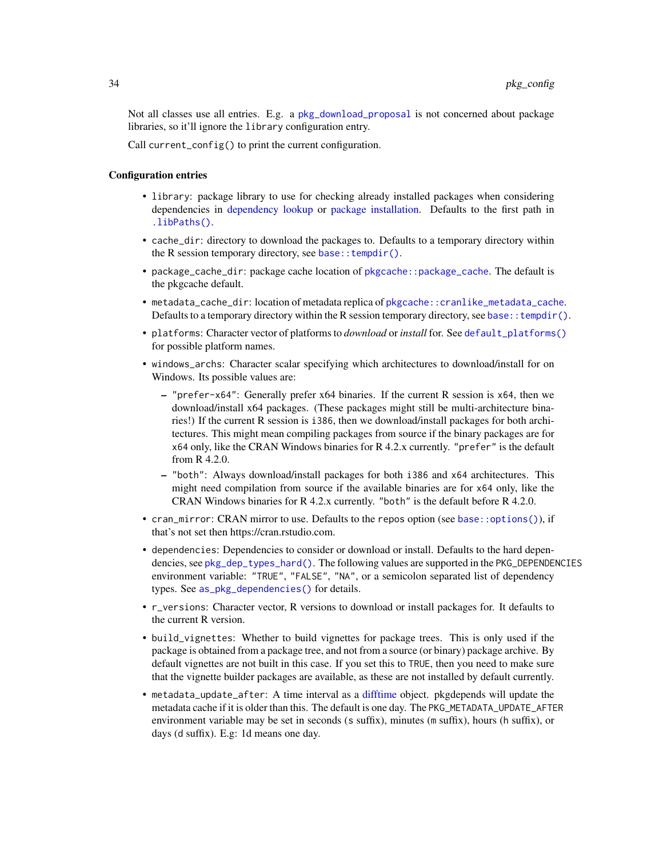<span id="page-33-0"></span>Not all classes use all entries. E.g. a [pkg\\_download\\_proposal](#page-15-1) is not concerned about package libraries, so it'll ignore the library configuration entry.

Call current\_config() to print the current configuration.

#### Configuration entries

- library: package library to use for checking already installed packages when considering dependencies in [dependency lookup](#page-10-1) or [package installation.](#page-22-1) Defaults to the first path in [.libPaths\(\)](#page-0-0).
- cache\_dir: directory to download the packages to. Defaults to a temporary directory within the R session temporary directory, see base::  $t$ empdir().
- package\_cache\_dir: package cache location of [pkgcache::package\\_cache](#page-0-0). The default is the pkgcache default.
- metadata\_cache\_dir: location of metadata replica of [pkgcache::cranlike\\_metadata\\_cache](#page-0-0). Defaults to a temporary directory within the R session temporary directory, see base:: tempdir().
- platforms: Character vector of platforms to *download* or *install* for. See [default\\_platforms\(\)](#page-6-1) for possible platform names.
- windows\_archs: Character scalar specifying which architectures to download/install for on Windows. Its possible values are:
	- "prefer-x64": Generally prefer x64 binaries. If the current R session is x64, then we download/install x64 packages. (These packages might still be multi-architecture binaries!) If the current R session is i386, then we download/install packages for both architectures. This might mean compiling packages from source if the binary packages are for x64 only, like the CRAN Windows binaries for R 4.2.x currently. "prefer" is the default from R 4.2.0.
	- "both": Always download/install packages for both i386 and x64 architectures. This might need compilation from source if the available binaries are for x64 only, like the CRAN Windows binaries for R 4.2.x currently. "both" is the default before R 4.2.0.
- cran\_mirror: CRAN mirror to use. Defaults to the repos option (see [base::options\(\)](#page-0-0)), if that's not set then https://cran.rstudio.com.
- dependencies: Dependencies to consider or download or install. Defaults to the hard dependencies, see [pkg\\_dep\\_types\\_hard\(\)](#page-34-1). The following values are supported in the PKG\_DEPENDENCIES environment variable: "TRUE", "FALSE", "NA", or a semicolon separated list of dependency types. See [as\\_pkg\\_dependencies\(\)](#page-5-1) for details.
- r\_versions: Character vector, R versions to download or install packages for. It defaults to the current R version.
- build\_vignettes: Whether to build vignettes for package trees. This is only used if the package is obtained from a package tree, and not from a source (or binary) package archive. By default vignettes are not built in this case. If you set this to TRUE, then you need to make sure that the vignette builder packages are available, as these are not installed by default currently.
- metadata\_update\_after: A time interval as a [difftime](#page-0-0) object. pkgdepends will update the metadata cache if it is older than this. The default is one day. The PKG\_METADATA\_UPDATE\_AFTER environment variable may be set in seconds (s suffix), minutes (m suffix), hours (h suffix), or days (d suffix). E.g: 1d means one day.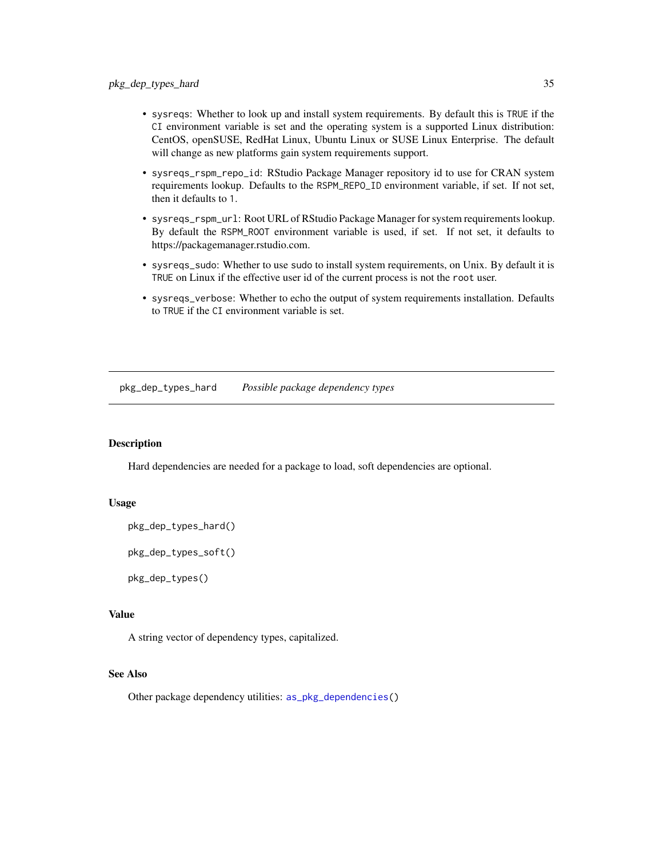- <span id="page-34-0"></span>• sysreqs: Whether to look up and install system requirements. By default this is TRUE if the CI environment variable is set and the operating system is a supported Linux distribution: CentOS, openSUSE, RedHat Linux, Ubuntu Linux or SUSE Linux Enterprise. The default will change as new platforms gain system requirements support.
- sysreqs\_rspm\_repo\_id: RStudio Package Manager repository id to use for CRAN system requirements lookup. Defaults to the RSPM\_REPO\_ID environment variable, if set. If not set, then it defaults to 1.
- sysreqs\_rspm\_url: Root URL of RStudio Package Manager for system requirements lookup. By default the RSPM\_ROOT environment variable is used, if set. If not set, it defaults to https://packagemanager.rstudio.com.
- sysreqs\_sudo: Whether to use sudo to install system requirements, on Unix. By default it is TRUE on Linux if the effective user id of the current process is not the root user.
- sysreqs\_verbose: Whether to echo the output of system requirements installation. Defaults to TRUE if the CI environment variable is set.

<span id="page-34-1"></span>pkg\_dep\_types\_hard *Possible package dependency types*

#### **Description**

Hard dependencies are needed for a package to load, soft dependencies are optional.

#### Usage

```
pkg_dep_types_hard()
```
pkg\_dep\_types\_soft()

pkg\_dep\_types()

# Value

A string vector of dependency types, capitalized.

# See Also

Other package dependency utilities: [as\\_pkg\\_dependencies\(](#page-5-1))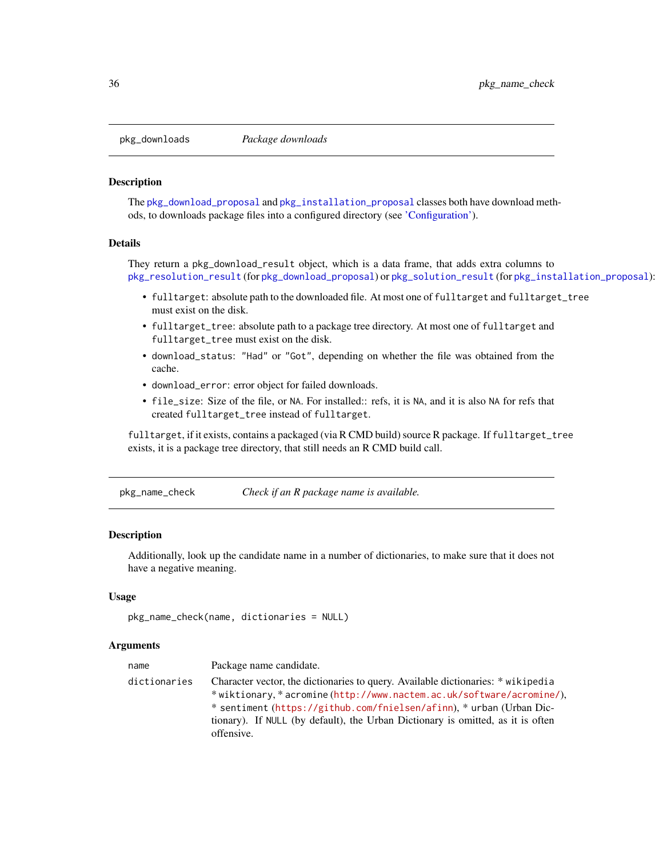<span id="page-35-1"></span><span id="page-35-0"></span>

#### <span id="page-35-2"></span>Description

The [pkg\\_download\\_proposal](#page-15-1) and [pkg\\_installation\\_proposal](#page-22-1) classes both have download methods, to downloads package files into a configured directory (see ['Configuration'\)](#page-32-1).

#### Details

They return a pkg\_download\_result object, which is a data frame, that adds extra columns to [pkg\\_resolution\\_result](#page-40-2) (for [pkg\\_download\\_proposal](#page-15-1)) or [pkg\\_solution\\_result](#page-43-2) (for [pkg\\_installation\\_proposal](#page-22-1)):

- fulltarget: absolute path to the downloaded file. At most one of fulltarget and fulltarget\_tree must exist on the disk.
- fulltarget\_tree: absolute path to a package tree directory. At most one of fulltarget and fulltarget\_tree must exist on the disk.
- download\_status: "Had" or "Got", depending on whether the file was obtained from the cache.
- download\_error: error object for failed downloads.
- file\_size: Size of the file, or NA. For installed:: refs, it is NA, and it is also NA for refs that created fulltarget\_tree instead of fulltarget.

fulltarget, if it exists, contains a packaged (via R CMD build) source R package. If fulltarget\_tree exists, it is a package tree directory, that still needs an R CMD build call.

pkg\_name\_check *Check if an R package name is available.*

#### Description

Additionally, look up the candidate name in a number of dictionaries, to make sure that it does not have a negative meaning.

#### Usage

```
pkg_name_check(name, dictionaries = NULL)
```
#### Arguments

| name         | Package name candidate.                                                                                                                                                                                                                                                                                                          |
|--------------|----------------------------------------------------------------------------------------------------------------------------------------------------------------------------------------------------------------------------------------------------------------------------------------------------------------------------------|
| dictionaries | Character vector, the dictionaries to query. Available dictionaries: * wikipedia<br>*wiktionary, *acromine(http://www.nactem.ac.uk/software/acromine/),<br>* sentiment (https://github.com/fnielsen/afinn), * urban (Urban Dic-<br>tionary). If NULL (by default), the Urban Dictionary is omitted, as it is often<br>offensive. |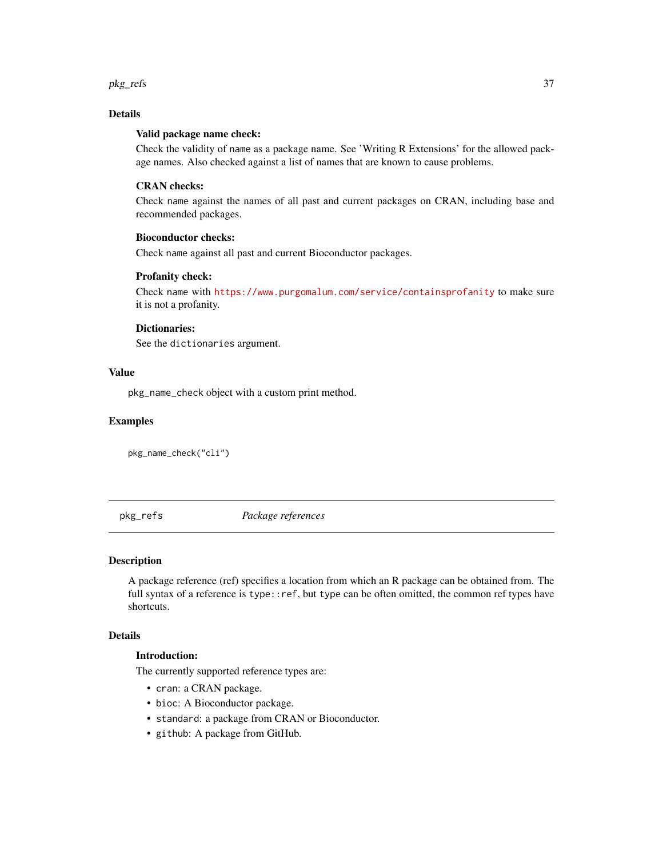<span id="page-36-0"></span>pkg\_refs 37

# Details

# Valid package name check:

Check the validity of name as a package name. See 'Writing R Extensions' for the allowed package names. Also checked against a list of names that are known to cause problems.

# CRAN checks:

Check name against the names of all past and current packages on CRAN, including base and recommended packages.

# Bioconductor checks:

Check name against all past and current Bioconductor packages.

# Profanity check:

Check name with <https://www.purgomalum.com/service/containsprofanity> to make sure it is not a profanity.

#### Dictionaries:

See the dictionaries argument.

# Value

pkg\_name\_check object with a custom print method.

#### Examples

pkg\_name\_check("cli")

<span id="page-36-1"></span>pkg\_refs *Package references*

# **Description**

A package reference (ref) specifies a location from which an R package can be obtained from. The full syntax of a reference is type::ref, but type can be often omitted, the common ref types have shortcuts.

# Details

# Introduction:

The currently supported reference types are:

- cran: a CRAN package.
- bioc: A Bioconductor package.
- standard: a package from CRAN or Bioconductor.
- github: A package from GitHub.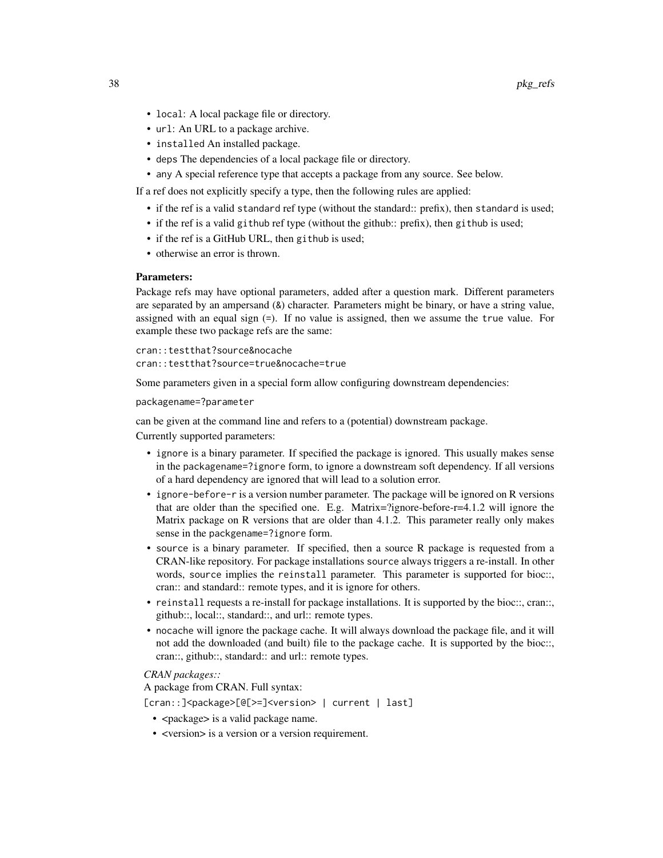- local: A local package file or directory.
- url: An URL to a package archive.
- installed An installed package.
- deps The dependencies of a local package file or directory.
- any A special reference type that accepts a package from any source. See below.

If a ref does not explicitly specify a type, then the following rules are applied:

- if the ref is a valid standard ref type (without the standard:: prefix), then standard is used;
- if the ref is a valid github ref type (without the github:: prefix), then github is used;
- if the ref is a GitHub URL, then github is used;
- otherwise an error is thrown.

#### Parameters:

Package refs may have optional parameters, added after a question mark. Different parameters are separated by an ampersand (&) character. Parameters might be binary, or have a string value, assigned with an equal sign (=). If no value is assigned, then we assume the true value. For example these two package refs are the same:

cran::testthat?source&nocache cran::testthat?source=true&nocache=true

Some parameters given in a special form allow configuring downstream dependencies:

packagename=?parameter

can be given at the command line and refers to a (potential) downstream package.

Currently supported parameters:

- ignore is a binary parameter. If specified the package is ignored. This usually makes sense in the packagename=?ignore form, to ignore a downstream soft dependency. If all versions of a hard dependency are ignored that will lead to a solution error.
- ignore-before-r is a version number parameter. The package will be ignored on R versions that are older than the specified one. E.g. Matrix=?ignore-before-r=4.1.2 will ignore the Matrix package on R versions that are older than 4.1.2. This parameter really only makes sense in the packgename=?ignore form.
- source is a binary parameter. If specified, then a source R package is requested from a CRAN-like repository. For package installations source always triggers a re-install. In other words, source implies the reinstall parameter. This parameter is supported for bioc::, cran:: and standard:: remote types, and it is ignore for others.
- reinstall requests a re-install for package installations. It is supported by the bioc::, cran::, github::, local::, standard::, and url:: remote types.
- nocache will ignore the package cache. It will always download the package file, and it will not add the downloaded (and built) file to the package cache. It is supported by the bioc::, cran::, github::, standard:: and url:: remote types.

#### *CRAN packages::*

A package from CRAN. Full syntax:

[cran::]<package>[@[>=]<version> | current | last]

- < package > is a valid package name.
- <version> is a version or a version requirement.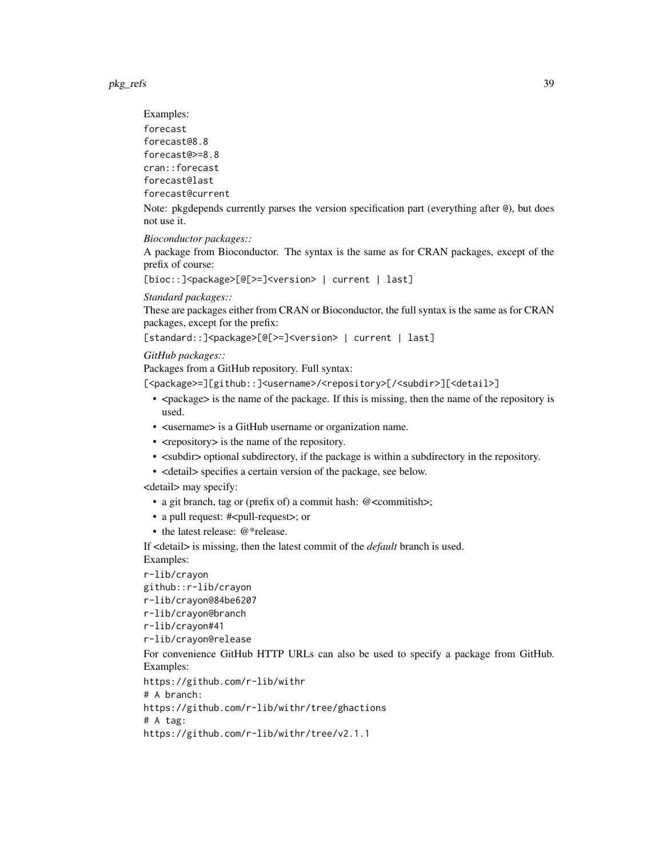pkg\_refs 39

Examples: forecast forecast@8.8 forecast@>=8.8 cran::forecast forecast@last forecast@current

Note: pkgdepends currently parses the version specification part (everything after @), but does not use it.

*Bioconductor packages::*

A package from Bioconductor. The syntax is the same as for CRAN packages, except of the prefix of course:

[bioc::]<package>[@[>=]<version> | current | last]

*Standard packages::*

These are packages either from CRAN or Bioconductor, the full syntax is the same as for CRAN packages, except for the prefix:

[standard::]<package>[@[>=]<version> | current | last]

*GitHub packages::*

Packages from a GitHub repository. Full syntax:

[<package>=][github::]<username>/<repository>[/<subdir>][<detail>]

- <package> is the name of the package. If this is missing, then the name of the repository is used.
- <username> is a GitHub username or organization name.
- <repository> is the name of the repository.
- <subdir> optional subdirectory, if the package is within a subdirectory in the repository.
- <detail> specifies a certain version of the package, see below.

<detail> may specify:

- a git branch, tag or (prefix of) a commit hash: @<commitish>;
- a pull request: #<pull-request>; or
- the latest release: @\*release.

If <detail> is missing, then the latest commit of the *default* branch is used. Examples:

r-lib/crayon

```
github::r-lib/crayon
```
r-lib/crayon@84be6207

r-lib/crayon@branch

```
r-lib/crayon#41
```
r-lib/crayon@release

For convenience GitHub HTTP URLs can also be used to specify a package from GitHub. Examples:

```
https://github.com/r-lib/withr
```
# A branch:

https://github.com/r-lib/withr/tree/ghactions

# A tag:

https://github.com/r-lib/withr/tree/v2.1.1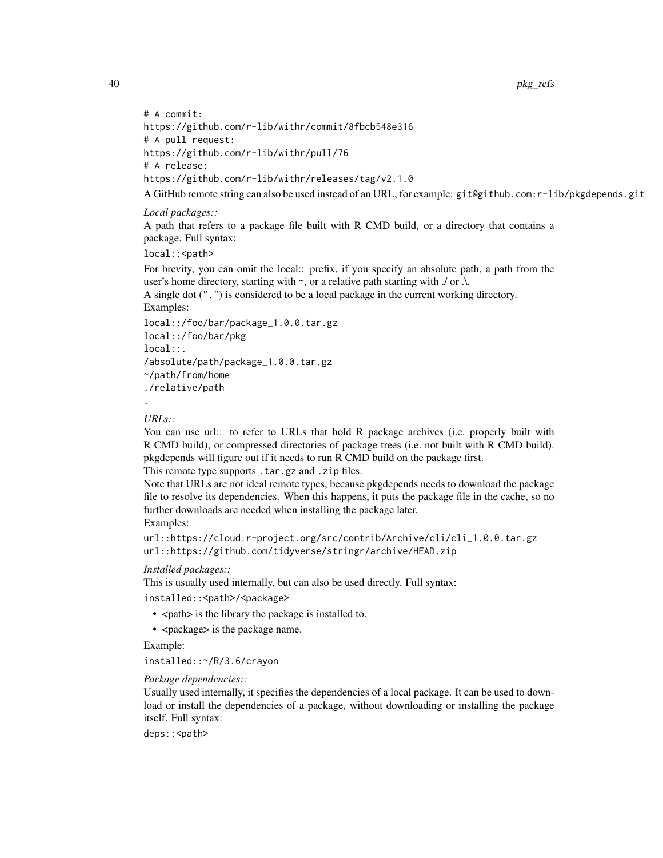40 pkg\_refs

```
# A commit:
https://github.com/r-lib/withr/commit/8fbcb548e316
# A pull request:
https://github.com/r-lib/withr/pull/76
# A release:
https://github.com/r-lib/withr/releases/tag/v2.1.0
```
A GitHub remote string can also be used instead of an URL, for example: git@github.com:r-lib/pkgdepends.git

#### *Local packages::*

A path that refers to a package file built with R CMD build, or a directory that contains a package. Full syntax:

local:: < path>

For brevity, you can omit the local:: prefix, if you specify an absolute path, a path from the user's home directory, starting with  $\sim$ , or a relative path starting with  $\sqrt{ }$  or  $\Lambda$ .

A single dot (".") is considered to be a local package in the current working directory. Examples:

```
local::/foo/bar/package_1.0.0.tar.gz
local::/foo/bar/pkg
local::.
/absolute/path/package_1.0.0.tar.gz
~/path/from/home
./relative/path
```
*URLs::*

.

You can use url:: to refer to URLs that hold R package archives (i.e. properly built with R CMD build), or compressed directories of package trees (i.e. not built with R CMD build). pkgdepends will figure out if it needs to run R CMD build on the package first.

This remote type supports .tar.gz and .zip files.

Note that URLs are not ideal remote types, because pkgdepends needs to download the package file to resolve its dependencies. When this happens, it puts the package file in the cache, so no further downloads are needed when installing the package later. Examples:

```
url::https://cloud.r-project.org/src/contrib/Archive/cli/cli_1.0.0.tar.gz
url::https://github.com/tidyverse/stringr/archive/HEAD.zip
```
#### *Installed packages::*

This is usually used internally, but can also be used directly. Full syntax:

installed::<path>/<package>

- < path > is the library the package is installed to.
- <package> is the package name.

Example:

installed::~/R/3.6/crayon

*Package dependencies::*

Usually used internally, it specifies the dependencies of a local package. It can be used to download or install the dependencies of a package, without downloading or installing the package itself. Full syntax:

deps:: < path>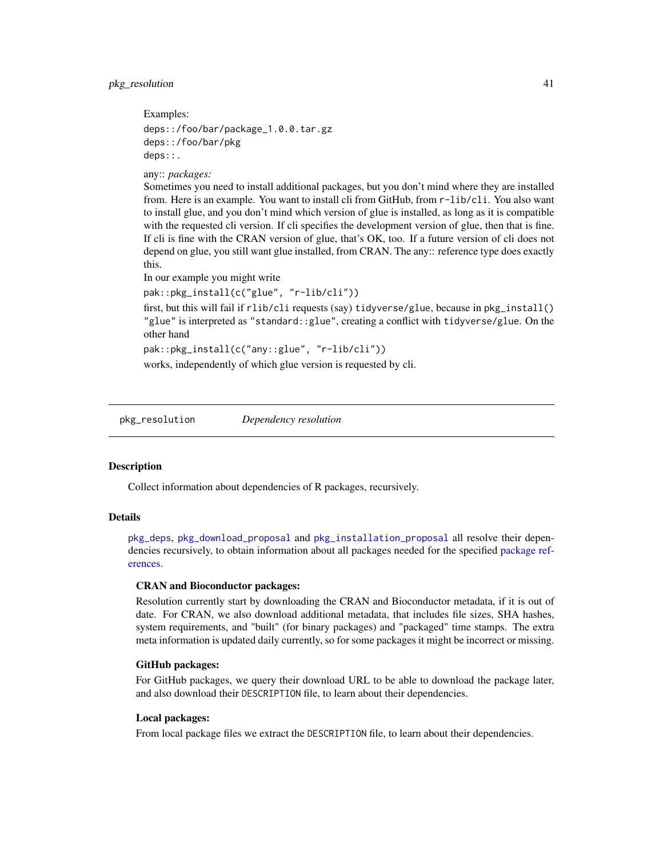#### <span id="page-40-0"></span>pkg\_resolution 41

Examples:

```
deps::/foo/bar/package_1.0.0.tar.gz
deps::/foo/bar/pkg
deps::.
```
any:: *packages:*

Sometimes you need to install additional packages, but you don't mind where they are installed from. Here is an example. You want to install cli from GitHub, from r-lib/cli. You also want to install glue, and you don't mind which version of glue is installed, as long as it is compatible with the requested cli version. If cli specifies the development version of glue, then that is fine. If cli is fine with the CRAN version of glue, that's OK, too. If a future version of cli does not depend on glue, you still want glue installed, from CRAN. The any:: reference type does exactly this.

In our example you might write

pak::pkg\_install(c("glue", "r-lib/cli"))

first, but this will fail if rlib/cli requests (say) tidyverse/glue, because in pkg\_install() "glue" is interpreted as "standard::glue", creating a conflict with tidyverse/glue. On the other hand

pak::pkg\_install(c("any::glue", "r-lib/cli"))

works, independently of which glue version is requested by cli.

<span id="page-40-1"></span>pkg\_resolution *Dependency resolution*

#### <span id="page-40-2"></span>Description

Collect information about dependencies of R packages, recursively.

#### Details

[pkg\\_deps](#page-10-1), [pkg\\_download\\_proposal](#page-15-1) and [pkg\\_installation\\_proposal](#page-22-1) all resolve their dependencies recursively, to obtain information about all packages needed for the specified [package ref](#page-36-1)[erences.](#page-36-1)

#### CRAN and Bioconductor packages:

Resolution currently start by downloading the CRAN and Bioconductor metadata, if it is out of date. For CRAN, we also download additional metadata, that includes file sizes, SHA hashes, system requirements, and "built" (for binary packages) and "packaged" time stamps. The extra meta information is updated daily currently, so for some packages it might be incorrect or missing.

#### GitHub packages:

For GitHub packages, we query their download URL to be able to download the package later, and also download their DESCRIPTION file, to learn about their dependencies.

#### Local packages:

From local package files we extract the DESCRIPTION file, to learn about their dependencies.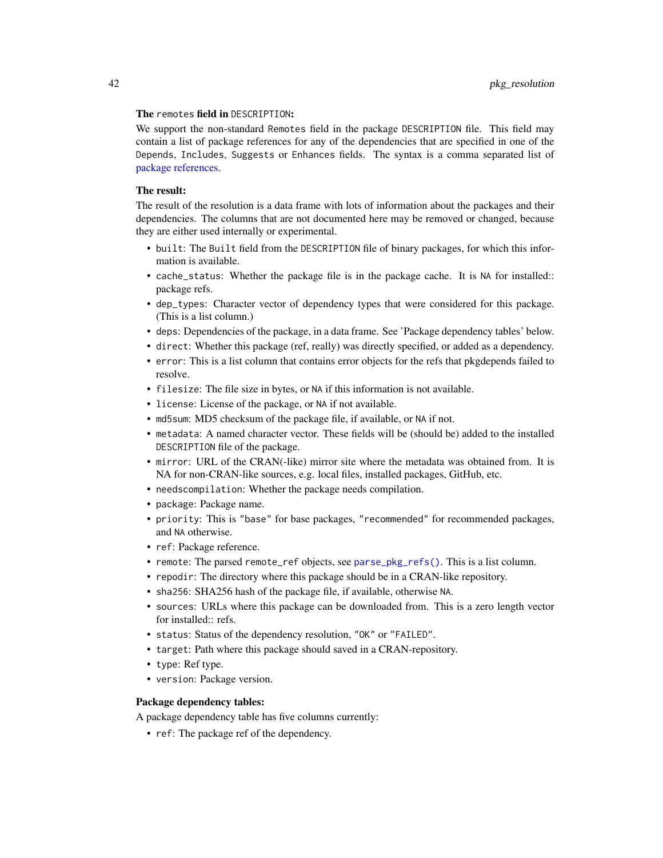#### <span id="page-41-0"></span>The remotes field in DESCRIPTION:

We support the non-standard Remotes field in the package DESCRIPTION file. This field may contain a list of package references for any of the dependencies that are specified in one of the Depends, Includes, Suggests or Enhances fields. The syntax is a comma separated list of [package references.](#page-36-1)

# The result:

The result of the resolution is a data frame with lots of information about the packages and their dependencies. The columns that are not documented here may be removed or changed, because they are either used internally or experimental.

- built: The Built field from the DESCRIPTION file of binary packages, for which this information is available.
- cache\_status: Whether the package file is in the package cache. It is NA for installed:: package refs.
- dep\_types: Character vector of dependency types that were considered for this package. (This is a list column.)
- deps: Dependencies of the package, in a data frame. See 'Package dependency tables' below.
- direct: Whether this package (ref, really) was directly specified, or added as a dependency.
- error: This is a list column that contains error objects for the refs that pkgdepends failed to resolve.
- filesize: The file size in bytes, or NA if this information is not available.
- license: License of the package, or NA if not available.
- md5sum: MD5 checksum of the package file, if available, or NA if not.
- metadata: A named character vector. These fields will be (should be) added to the installed DESCRIPTION file of the package.
- mirror: URL of the CRAN(-like) mirror site where the metadata was obtained from. It is NA for non-CRAN-like sources, e.g. local files, installed packages, GitHub, etc.
- needscompilation: Whether the package needs compilation.
- package: Package name.
- priority: This is "base" for base packages, "recommended" for recommended packages, and NA otherwise.
- ref: Package reference.
- remote: The parsed remote\_ref objects, see [parse\\_pkg\\_refs\(\)](#page-31-1). This is a list column.
- repodir: The directory where this package should be in a CRAN-like repository.
- sha256: SHA256 hash of the package file, if available, otherwise NA.
- sources: URLs where this package can be downloaded from. This is a zero length vector for installed:: refs.
- status: Status of the dependency resolution, "OK" or "FAILED".
- target: Path where this package should saved in a CRAN-repository.
- type: Ref type.
- version: Package version.

#### Package dependency tables:

A package dependency table has five columns currently:

• ref: The package ref of the dependency.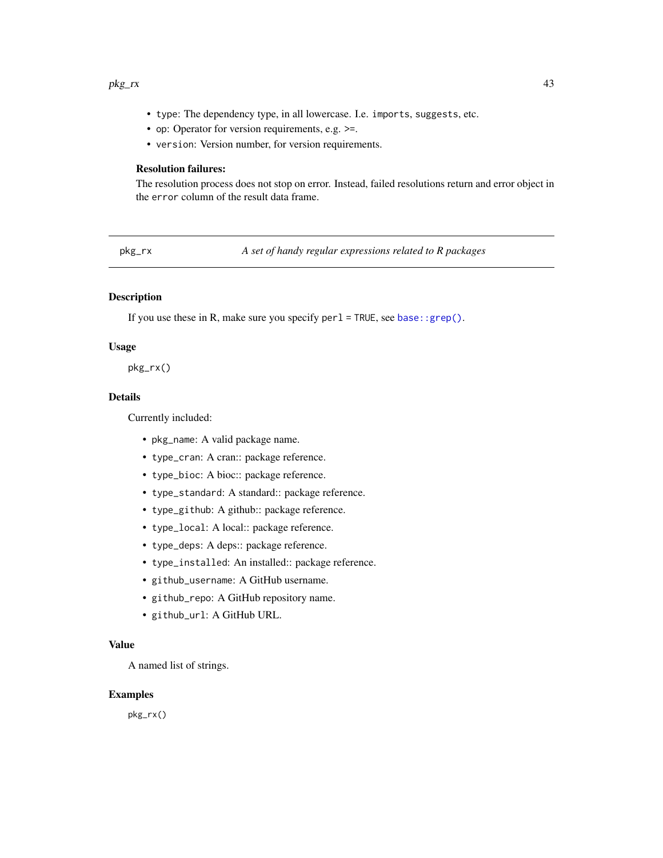#### <span id="page-42-0"></span>pkg\_rx 43

- type: The dependency type, in all lowercase. I.e. imports, suggests, etc.
- op: Operator for version requirements, e.g. >=.
- version: Version number, for version requirements.

# Resolution failures:

The resolution process does not stop on error. Instead, failed resolutions return and error object in the error column of the result data frame.

pkg\_rx *A set of handy regular expressions related to R packages*

# **Description**

If you use these in R, make sure you specify  $per1 = TRUE$ , see [base::grep\(\)](#page-0-0).

# Usage

pkg\_rx()

# Details

Currently included:

- pkg\_name: A valid package name.
- type\_cran: A cran:: package reference.
- type\_bioc: A bioc:: package reference.
- type\_standard: A standard:: package reference.
- type\_github: A github:: package reference.
- type\_local: A local:: package reference.
- type\_deps: A deps:: package reference.
- type\_installed: An installed:: package reference.
- github\_username: A GitHub username.
- github\_repo: A GitHub repository name.
- github\_url: A GitHub URL.

## Value

A named list of strings.

#### Examples

pkg\_rx()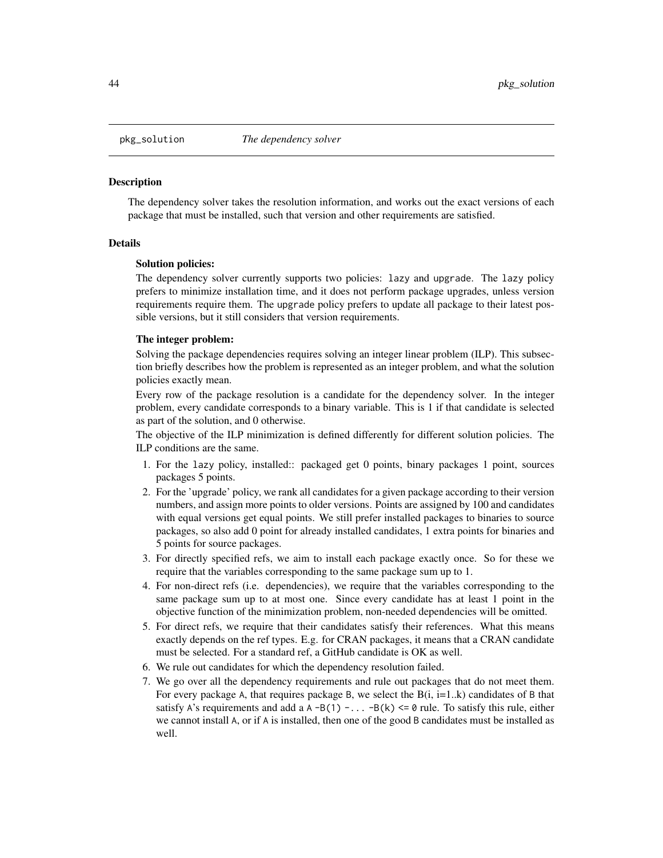<span id="page-43-1"></span><span id="page-43-0"></span>

#### <span id="page-43-2"></span>**Description**

The dependency solver takes the resolution information, and works out the exact versions of each package that must be installed, such that version and other requirements are satisfied.

#### Details

#### Solution policies:

The dependency solver currently supports two policies: lazy and upgrade. The lazy policy prefers to minimize installation time, and it does not perform package upgrades, unless version requirements require them. The upgrade policy prefers to update all package to their latest possible versions, but it still considers that version requirements.

#### The integer problem:

Solving the package dependencies requires solving an integer linear problem (ILP). This subsection briefly describes how the problem is represented as an integer problem, and what the solution policies exactly mean.

Every row of the package resolution is a candidate for the dependency solver. In the integer problem, every candidate corresponds to a binary variable. This is 1 if that candidate is selected as part of the solution, and 0 otherwise.

The objective of the ILP minimization is defined differently for different solution policies. The ILP conditions are the same.

- 1. For the lazy policy, installed:: packaged get 0 points, binary packages 1 point, sources packages 5 points.
- 2. For the 'upgrade' policy, we rank all candidates for a given package according to their version numbers, and assign more points to older versions. Points are assigned by 100 and candidates with equal versions get equal points. We still prefer installed packages to binaries to source packages, so also add 0 point for already installed candidates, 1 extra points for binaries and 5 points for source packages.
- 3. For directly specified refs, we aim to install each package exactly once. So for these we require that the variables corresponding to the same package sum up to 1.
- 4. For non-direct refs (i.e. dependencies), we require that the variables corresponding to the same package sum up to at most one. Since every candidate has at least 1 point in the objective function of the minimization problem, non-needed dependencies will be omitted.
- 5. For direct refs, we require that their candidates satisfy their references. What this means exactly depends on the ref types. E.g. for CRAN packages, it means that a CRAN candidate must be selected. For a standard ref, a GitHub candidate is OK as well.
- 6. We rule out candidates for which the dependency resolution failed.
- 7. We go over all the dependency requirements and rule out packages that do not meet them. For every package A, that requires package B, we select the  $B(i, i=1..k)$  candidates of B that satisfy A's requirements and add a A -B(1) -  $\dots$  -B(k) <= 0 rule. To satisfy this rule, either we cannot install A, or if A is installed, then one of the good B candidates must be installed as well.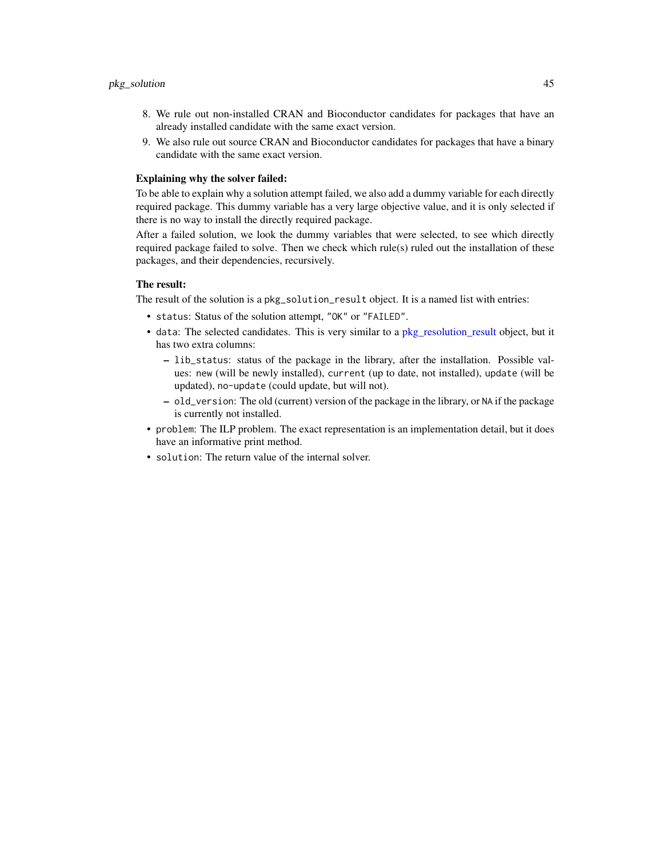- <span id="page-44-0"></span>8. We rule out non-installed CRAN and Bioconductor candidates for packages that have an already installed candidate with the same exact version.
- 9. We also rule out source CRAN and Bioconductor candidates for packages that have a binary candidate with the same exact version.

# Explaining why the solver failed:

To be able to explain why a solution attempt failed, we also add a dummy variable for each directly required package. This dummy variable has a very large objective value, and it is only selected if there is no way to install the directly required package.

After a failed solution, we look the dummy variables that were selected, to see which directly required package failed to solve. Then we check which rule(s) ruled out the installation of these packages, and their dependencies, recursively.

# The result:

The result of the solution is a pkg\_solution\_result object. It is a named list with entries:

- status: Status of the solution attempt, "OK" or "FAILED".
- data: The selected candidates. This is very similar to a [pkg\\_resolution\\_result](#page-40-2) object, but it has two extra columns:
	- lib\_status: status of the package in the library, after the installation. Possible values: new (will be newly installed), current (up to date, not installed), update (will be updated), no-update (could update, but will not).
	- old\_version: The old (current) version of the package in the library, or NA if the package is currently not installed.
- problem: The ILP problem. The exact representation is an implementation detail, but it does have an informative print method.
- solution: The return value of the internal solver.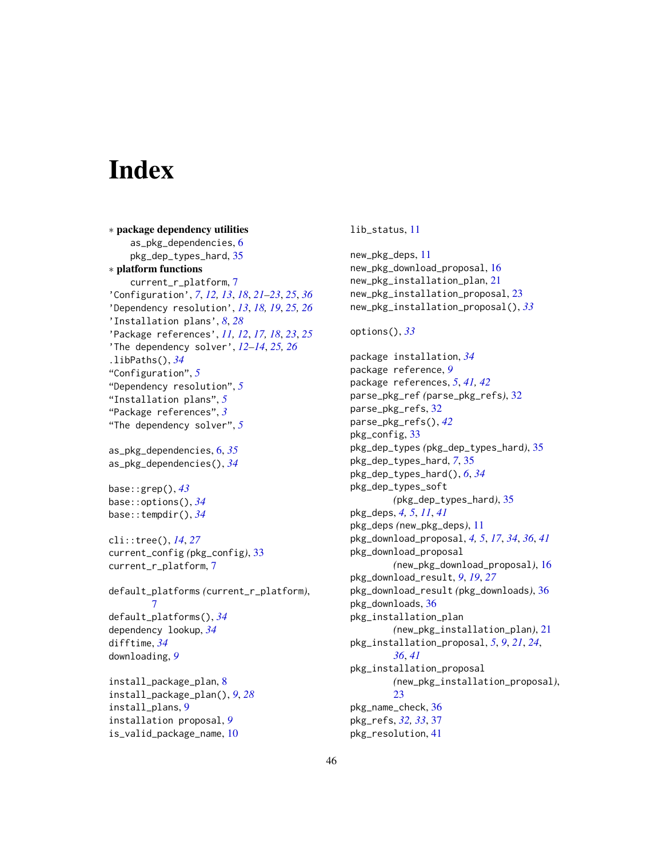# <span id="page-45-0"></span>**Index**

∗ package dependency utilities as\_pkg\_dependencies, [6](#page-5-0) pkg\_dep\_types\_hard, [35](#page-34-0) ∗ platform functions current\_r\_platform, [7](#page-6-0) 'Configuration', *[7](#page-6-0)*, *[12,](#page-11-2) [13](#page-12-7)*, *[18](#page-17-0)*, *[21](#page-20-0)[–23](#page-22-0)*, *[25](#page-24-0)*, *[36](#page-35-0)* 'Dependency resolution', *[13](#page-12-7)*, *[18,](#page-17-0) [19](#page-18-4)*, *[25,](#page-24-0) [26](#page-25-1)* 'Installation plans', *[8](#page-7-0)*, *[28](#page-27-3)* 'Package references', *[11,](#page-10-0) [12](#page-11-2)*, *[17,](#page-16-0) [18](#page-17-0)*, *[23](#page-22-0)*, *[25](#page-24-0)* 'The dependency solver', *[12–](#page-11-2)[14](#page-13-5)*, *[25,](#page-24-0) [26](#page-25-1)* .libPaths(), *[34](#page-33-0)* "Configuration", *[5](#page-4-0)* "Dependency resolution", *[5](#page-4-0)* "Installation plans", *[5](#page-4-0)* "Package references", *[3](#page-2-0)* "The dependency solver", *[5](#page-4-0)*

as\_pkg\_dependencies, [6,](#page-5-0) *[35](#page-34-0)* as\_pkg\_dependencies(), *[34](#page-33-0)*

base::grep(), *[43](#page-42-0)* base::options(), *[34](#page-33-0)* base::tempdir(), *[34](#page-33-0)*

cli::tree(), *[14](#page-13-5)*, *[27](#page-26-1)* current\_config *(*pkg\_config*)*, [33](#page-32-0) current\_r\_platform, [7](#page-6-0)

default\_platforms *(*current\_r\_platform*)*, [7](#page-6-0) default\_platforms(), *[34](#page-33-0)* dependency lookup, *[34](#page-33-0)* difftime, *[34](#page-33-0)* downloading, *[9](#page-8-0)*

install\_package\_plan, [8](#page-7-0) install\_package\_plan(), *[9](#page-8-0)*, *[28](#page-27-3)* install\_plans, [9](#page-8-0) installation proposal, *[9](#page-8-0)* is\_valid\_package\_name, [10](#page-9-0)

lib\_status, [11](#page-10-0)

new\_pkg\_deps, [11](#page-10-0) new\_pkg\_download\_proposal, [16](#page-15-0) new\_pkg\_installation\_plan, [21](#page-20-0) new\_pkg\_installation\_proposal, [23](#page-22-0) new\_pkg\_installation\_proposal(), *[33](#page-32-0)*

options(), *[33](#page-32-0)*

package installation, *[34](#page-33-0)* package reference, *[9](#page-8-0)* package references, *[5](#page-4-0)*, *[41,](#page-40-0) [42](#page-41-0)* parse\_pkg\_ref *(*parse\_pkg\_refs*)*, [32](#page-31-0) parse\_pkg\_refs, [32](#page-31-0) parse\_pkg\_refs(), *[42](#page-41-0)* pkg\_config, [33](#page-32-0) pkg\_dep\_types *(*pkg\_dep\_types\_hard*)*, [35](#page-34-0) pkg\_dep\_types\_hard, *[7](#page-6-0)*, [35](#page-34-0) pkg\_dep\_types\_hard(), *[6](#page-5-0)*, *[34](#page-33-0)* pkg\_dep\_types\_soft *(*pkg\_dep\_types\_hard*)*, [35](#page-34-0) pkg\_deps, *[4,](#page-3-0) [5](#page-4-0)*, *[11](#page-10-0)*, *[41](#page-40-0)* pkg\_deps *(*new\_pkg\_deps*)*, [11](#page-10-0) pkg\_download\_proposal, *[4,](#page-3-0) [5](#page-4-0)*, *[17](#page-16-0)*, *[34](#page-33-0)*, *[36](#page-35-0)*, *[41](#page-40-0)* pkg\_download\_proposal *(*new\_pkg\_download\_proposal*)*, [16](#page-15-0) pkg\_download\_result, *[9](#page-8-0)*, *[19](#page-18-4)*, *[27](#page-26-1)* pkg\_download\_result *(*pkg\_downloads*)*, [36](#page-35-0) pkg\_downloads, [36](#page-35-0) pkg\_installation\_plan *(*new\_pkg\_installation\_plan*)*, [21](#page-20-0) pkg\_installation\_proposal, *[5](#page-4-0)*, *[9](#page-8-0)*, *[21](#page-20-0)*, *[24](#page-23-0)*, *[36](#page-35-0)*, *[41](#page-40-0)* pkg\_installation\_proposal *(*new\_pkg\_installation\_proposal*)*, [23](#page-22-0) pkg\_name\_check, [36](#page-35-0) pkg\_refs, *[32,](#page-31-0) [33](#page-32-0)*, [37](#page-36-0) pkg\_resolution, [41](#page-40-0)